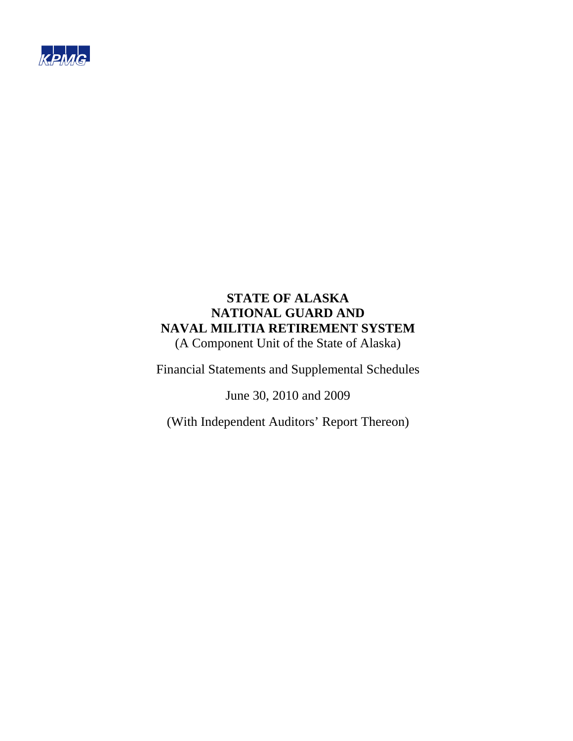

# **STATE OF ALASKA NATIONAL GUARD AND NAVAL MILITIA RETIREMENT SYSTEM**  (A Component Unit of the State of Alaska)

Financial Statements and Supplemental Schedules

June 30, 2010 and 2009

(With Independent Auditors' Report Thereon)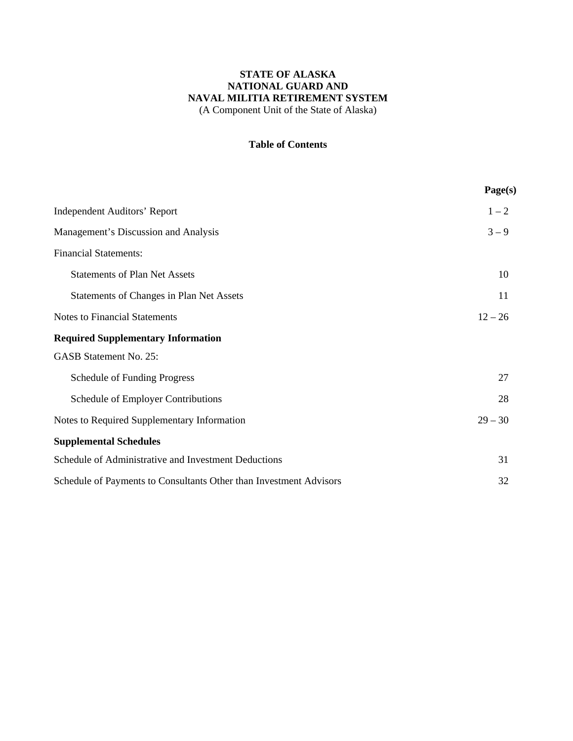(A Component Unit of the State of Alaska)

### **Table of Contents**

|                                                                    | Page(s)   |
|--------------------------------------------------------------------|-----------|
| <b>Independent Auditors' Report</b>                                | $1 - 2$   |
| Management's Discussion and Analysis                               | $3 - 9$   |
| <b>Financial Statements:</b>                                       |           |
| <b>Statements of Plan Net Assets</b>                               | 10        |
| <b>Statements of Changes in Plan Net Assets</b>                    | 11        |
| <b>Notes to Financial Statements</b>                               | $12 - 26$ |
| <b>Required Supplementary Information</b>                          |           |
| GASB Statement No. 25:                                             |           |
| <b>Schedule of Funding Progress</b>                                | 27        |
| <b>Schedule of Employer Contributions</b>                          | 28        |
| Notes to Required Supplementary Information                        | $29 - 30$ |
| <b>Supplemental Schedules</b>                                      |           |
| Schedule of Administrative and Investment Deductions               | 31        |
| Schedule of Payments to Consultants Other than Investment Advisors | 32        |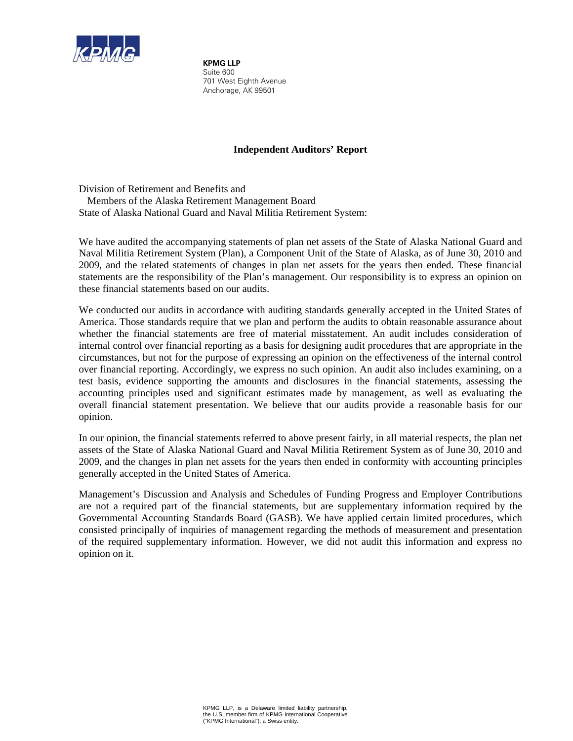

**KPMG LLP** Suite 600 701 West Eighth Avenue Anchorage, AK 99501

### **Independent Auditors' Report**

Division of Retirement and Benefits and Members of the Alaska Retirement Management Board State of Alaska National Guard and Naval Militia Retirement System:

We have audited the accompanying statements of plan net assets of the State of Alaska National Guard and Naval Militia Retirement System (Plan), a Component Unit of the State of Alaska, as of June 30, 2010 and 2009, and the related statements of changes in plan net assets for the years then ended. These financial statements are the responsibility of the Plan's management. Our responsibility is to express an opinion on these financial statements based on our audits.

We conducted our audits in accordance with auditing standards generally accepted in the United States of America. Those standards require that we plan and perform the audits to obtain reasonable assurance about whether the financial statements are free of material misstatement. An audit includes consideration of internal control over financial reporting as a basis for designing audit procedures that are appropriate in the circumstances, but not for the purpose of expressing an opinion on the effectiveness of the internal control over financial reporting. Accordingly, we express no such opinion. An audit also includes examining, on a test basis, evidence supporting the amounts and disclosures in the financial statements, assessing the accounting principles used and significant estimates made by management, as well as evaluating the overall financial statement presentation. We believe that our audits provide a reasonable basis for our opinion.

In our opinion, the financial statements referred to above present fairly, in all material respects, the plan net assets of the State of Alaska National Guard and Naval Militia Retirement System as of June 30, 2010 and 2009, and the changes in plan net assets for the years then ended in conformity with accounting principles generally accepted in the United States of America.

Management's Discussion and Analysis and Schedules of Funding Progress and Employer Contributions are not a required part of the financial statements, but are supplementary information required by the Governmental Accounting Standards Board (GASB). We have applied certain limited procedures, which consisted principally of inquiries of management regarding the methods of measurement and presentation of the required supplementary information. However, we did not audit this information and express no opinion on it.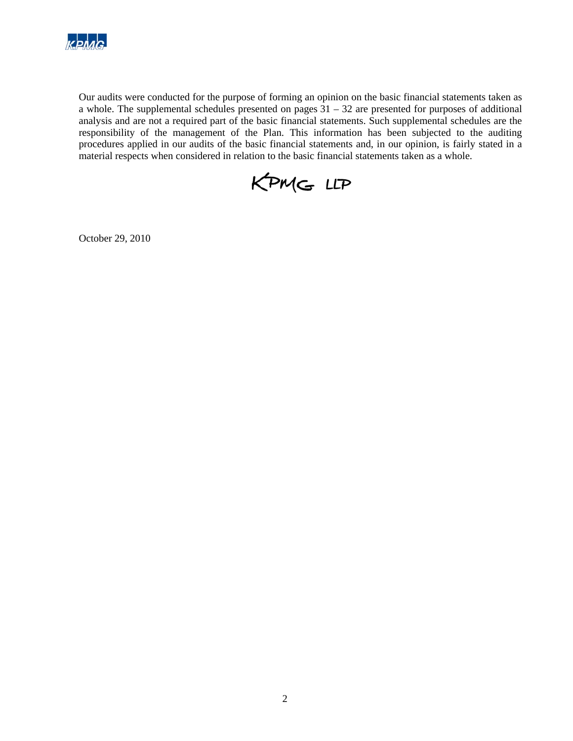

Our audits were conducted for the purpose of forming an opinion on the basic financial statements taken as a whole. The supplemental schedules presented on pages  $31 - 32$  are presented for purposes of additional analysis and are not a required part of the basic financial statements. Such supplemental schedules are the responsibility of the management of the Plan. This information has been subjected to the auditing procedures applied in our audits of the basic financial statements and, in our opinion, is fairly stated in a material respects when considered in relation to the basic financial statements taken as a whole.



October 29, 2010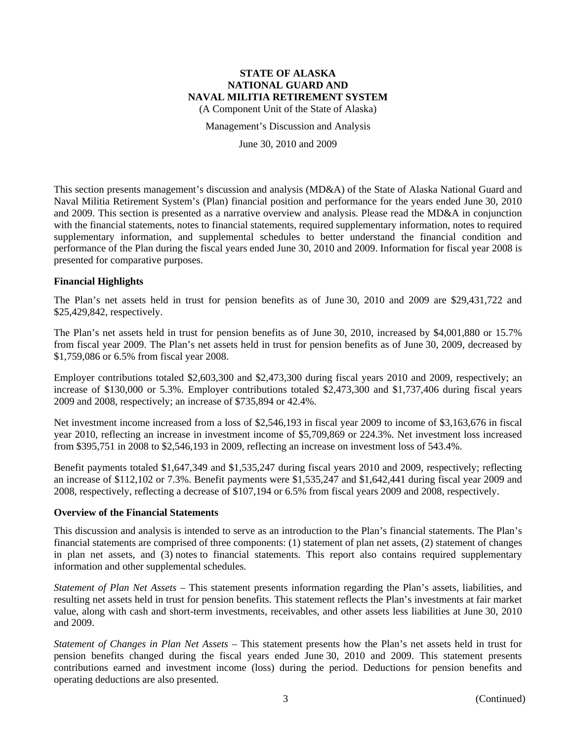(A Component Unit of the State of Alaska)

Management's Discussion and Analysis

June 30, 2010 and 2009

This section presents management's discussion and analysis (MD&A) of the State of Alaska National Guard and Naval Militia Retirement System's (Plan) financial position and performance for the years ended June 30, 2010 and 2009. This section is presented as a narrative overview and analysis. Please read the MD&A in conjunction with the financial statements, notes to financial statements, required supplementary information, notes to required supplementary information, and supplemental schedules to better understand the financial condition and performance of the Plan during the fiscal years ended June 30, 2010 and 2009. Information for fiscal year 2008 is presented for comparative purposes.

### **Financial Highlights**

The Plan's net assets held in trust for pension benefits as of June 30, 2010 and 2009 are \$29,431,722 and \$25,429,842, respectively.

The Plan's net assets held in trust for pension benefits as of June 30, 2010, increased by \$4,001,880 or 15.7% from fiscal year 2009. The Plan's net assets held in trust for pension benefits as of June 30, 2009, decreased by \$1,759,086 or 6.5% from fiscal year 2008.

Employer contributions totaled \$2,603,300 and \$2,473,300 during fiscal years 2010 and 2009, respectively; an increase of \$130,000 or 5.3%. Employer contributions totaled \$2,473,300 and \$1,737,406 during fiscal years 2009 and 2008, respectively; an increase of \$735,894 or 42.4%.

Net investment income increased from a loss of \$2,546,193 in fiscal year 2009 to income of \$3,163,676 in fiscal year 2010, reflecting an increase in investment income of \$5,709,869 or 224.3%. Net investment loss increased from \$395,751 in 2008 to \$2,546,193 in 2009, reflecting an increase on investment loss of 543.4%.

Benefit payments totaled \$1,647,349 and \$1,535,247 during fiscal years 2010 and 2009, respectively; reflecting an increase of \$112,102 or 7.3%. Benefit payments were \$1,535,247 and \$1,642,441 during fiscal year 2009 and 2008, respectively, reflecting a decrease of \$107,194 or 6.5% from fiscal years 2009 and 2008, respectively.

#### **Overview of the Financial Statements**

This discussion and analysis is intended to serve as an introduction to the Plan's financial statements. The Plan's financial statements are comprised of three components: (1) statement of plan net assets, (2) statement of changes in plan net assets, and (3) notes to financial statements. This report also contains required supplementary information and other supplemental schedules.

*Statement of Plan Net Assets* – This statement presents information regarding the Plan's assets, liabilities, and resulting net assets held in trust for pension benefits. This statement reflects the Plan's investments at fair market value, along with cash and short-term investments, receivables, and other assets less liabilities at June 30, 2010 and 2009.

*Statement of Changes in Plan Net Assets* – This statement presents how the Plan's net assets held in trust for pension benefits changed during the fiscal years ended June 30, 2010 and 2009. This statement presents contributions earned and investment income (loss) during the period. Deductions for pension benefits and operating deductions are also presented.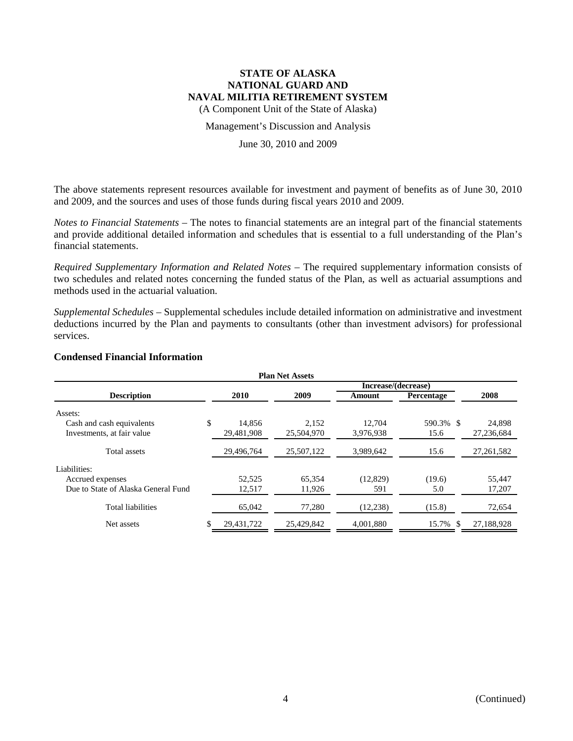(A Component Unit of the State of Alaska)

#### Management's Discussion and Analysis

### June 30, 2010 and 2009

The above statements represent resources available for investment and payment of benefits as of June 30, 2010 and 2009, and the sources and uses of those funds during fiscal years 2010 and 2009.

*Notes to Financial Statements* – The notes to financial statements are an integral part of the financial statements and provide additional detailed information and schedules that is essential to a full understanding of the Plan's financial statements.

*Required Supplementary Information and Related Notes* – The required supplementary information consists of two schedules and related notes concerning the funded status of the Plan, as well as actuarial assumptions and methods used in the actuarial valuation.

*Supplemental Schedules* – Supplemental schedules include detailed information on administrative and investment deductions incurred by the Plan and payments to consultants (other than investment advisors) for professional services.

| <b>Plan Net Assets</b>              |    |            |            |           |             |              |
|-------------------------------------|----|------------|------------|-----------|-------------|--------------|
| Increase/(decrease)                 |    |            |            |           |             |              |
| <b>Description</b>                  |    | 2010       | 2009       | Amount    | Percentage  | 2008         |
| Assets:                             |    |            |            |           |             |              |
| Cash and cash equivalents           | \$ | 14.856     | 2,152      | 12.704    | 590.3% \$   | 24,898       |
| Investments, at fair value          |    | 29,481,908 | 25,504,970 | 3,976,938 | 15.6        | 27,236,684   |
| Total assets                        |    | 29,496,764 | 25,507,122 | 3,989,642 | 15.6        | 27, 261, 582 |
| Liabilities:                        |    |            |            |           |             |              |
| Accrued expenses                    |    | 52,525     | 65,354     | (12, 829) | (19.6)      | 55,447       |
| Due to State of Alaska General Fund |    | 12,517     | 11,926     | 591       | 5.0         | 17,207       |
| <b>Total liabilities</b>            |    | 65,042     | 77,280     | (12, 238) | (15.8)      | 72,654       |
| Net assets                          |    | 29,431,722 | 25,429,842 | 4,001,880 | 15.7%<br>-S | 27,188,928   |

#### **Condensed Financial Information**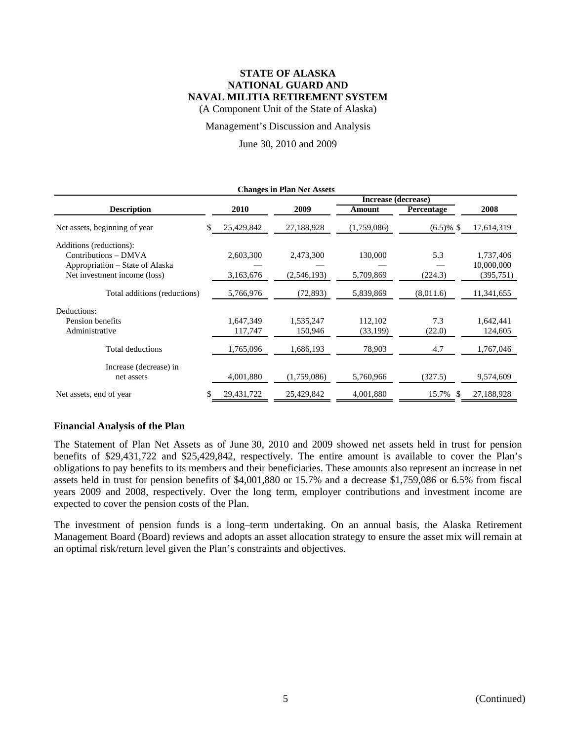(A Component Unit of the State of Alaska)

#### Management's Discussion and Analysis

#### June 30, 2010 and 2009

| <b>Changes in Plan Net Assets</b> |   |            |             |                     |              |            |
|-----------------------------------|---|------------|-------------|---------------------|--------------|------------|
|                                   |   |            |             | Increase (decrease) |              |            |
| <b>Description</b>                |   | 2010       | 2009        | Amount              | Percentage   | 2008       |
| Net assets, beginning of year     | S | 25,429,842 | 27,188,928  | (1,759,086)         | $(6.5)\%$ \$ | 17,614,319 |
| Additions (reductions):           |   |            |             |                     |              |            |
| $Contributions - DMVA$            |   | 2,603,300  | 2,473,300   | 130,000             | 5.3          | 1,737,406  |
| Appropriation – State of Alaska   |   |            |             |                     |              | 10,000,000 |
| Net investment income (loss)      |   | 3,163,676  | (2,546,193) | 5,709,869           | (224.3)      | (395, 751) |
| Total additions (reductions)      |   | 5,766,976  | (72, 893)   | 5,839,869           | (8,011.6)    | 11,341,655 |
| Deductions:                       |   |            |             |                     |              |            |
| Pension benefits                  |   | 1,647,349  | 1,535,247   | 112,102             | 7.3          | 1,642,441  |
| Administrative                    |   | 117,747    | 150,946     | (33,199)            | (22.0)       | 124,605    |
| Total deductions                  |   | 1,765,096  | 1,686,193   | 78,903              | 4.7          | 1,767,046  |
| Increase (decrease) in            |   |            |             |                     |              |            |
| net assets                        |   | 4,001,880  | (1,759,086) | 5,760,966           | (327.5)      | 9,574,609  |
| Net assets, end of year           | S | 29,431,722 | 25,429,842  | 4,001,880           | 15.7%<br>S.  | 27,188,928 |

#### **Financial Analysis of the Plan**

The Statement of Plan Net Assets as of June 30, 2010 and 2009 showed net assets held in trust for pension benefits of \$29,431,722 and \$25,429,842, respectively. The entire amount is available to cover the Plan's obligations to pay benefits to its members and their beneficiaries. These amounts also represent an increase in net assets held in trust for pension benefits of \$4,001,880 or 15.7% and a decrease \$1,759,086 or 6.5% from fiscal years 2009 and 2008, respectively. Over the long term, employer contributions and investment income are expected to cover the pension costs of the Plan.

The investment of pension funds is a long–term undertaking. On an annual basis, the Alaska Retirement Management Board (Board) reviews and adopts an asset allocation strategy to ensure the asset mix will remain at an optimal risk/return level given the Plan's constraints and objectives.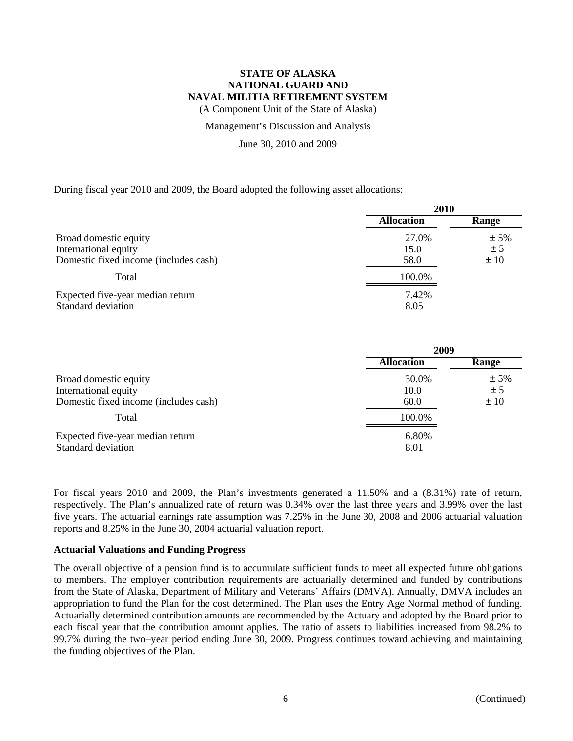(A Component Unit of the State of Alaska)

Management's Discussion and Analysis

June 30, 2010 and 2009

During fiscal year 2010 and 2009, the Board adopted the following asset allocations:

|                                       | 2010              |       |  |
|---------------------------------------|-------------------|-------|--|
|                                       | <b>Allocation</b> | Range |  |
| Broad domestic equity                 | 27.0%             | ± 5%  |  |
| International equity                  | 15.0              | ± 5   |  |
| Domestic fixed income (includes cash) | 58.0              | ±10   |  |
| Total                                 | 100.0%            |       |  |
| Expected five-year median return      | 7.42%             |       |  |
| Standard deviation                    | 8.05              |       |  |

|                                       | 2009              |       |  |
|---------------------------------------|-------------------|-------|--|
|                                       | <b>Allocation</b> | Range |  |
| Broad domestic equity                 | 30.0%             | ± 5%  |  |
| International equity                  | 10.0              | ± 5   |  |
| Domestic fixed income (includes cash) | 60.0              | ±10   |  |
| Total                                 | 100.0%            |       |  |
| Expected five-year median return      | 6.80%             |       |  |
| Standard deviation                    | 8.01              |       |  |

For fiscal years 2010 and 2009, the Plan's investments generated a 11.50% and a (8.31%) rate of return, respectively. The Plan's annualized rate of return was 0.34% over the last three years and 3.99% over the last five years. The actuarial earnings rate assumption was 7.25% in the June 30, 2008 and 2006 actuarial valuation reports and 8.25% in the June 30, 2004 actuarial valuation report.

#### **Actuarial Valuations and Funding Progress**

The overall objective of a pension fund is to accumulate sufficient funds to meet all expected future obligations to members. The employer contribution requirements are actuarially determined and funded by contributions from the State of Alaska, Department of Military and Veterans' Affairs (DMVA). Annually, DMVA includes an appropriation to fund the Plan for the cost determined. The Plan uses the Entry Age Normal method of funding. Actuarially determined contribution amounts are recommended by the Actuary and adopted by the Board prior to each fiscal year that the contribution amount applies. The ratio of assets to liabilities increased from 98.2% to 99.7% during the two–year period ending June 30, 2009. Progress continues toward achieving and maintaining the funding objectives of the Plan.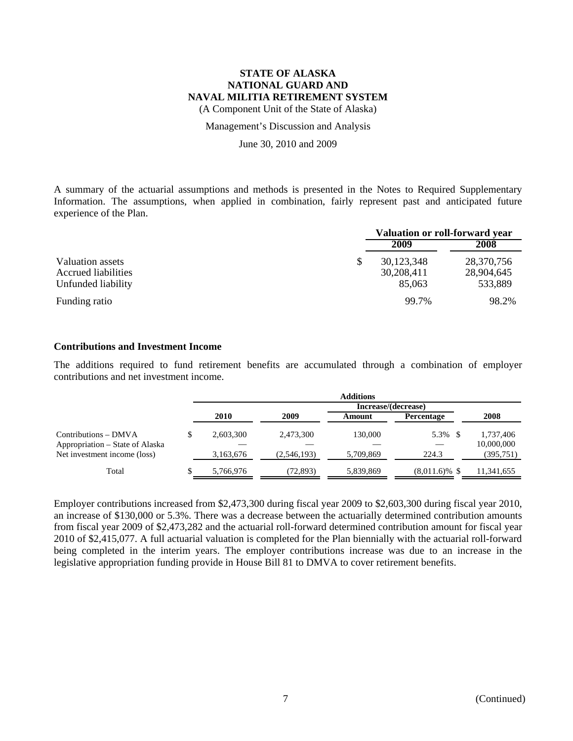(A Component Unit of the State of Alaska)

#### Management's Discussion and Analysis

#### June 30, 2010 and 2009

A summary of the actuarial assumptions and methods is presented in the Notes to Required Supplementary Information. The assumptions, when applied in combination, fairly represent past and anticipated future experience of the Plan.

|                                         | Valuation or roll-forward year |                          |  |
|-----------------------------------------|--------------------------------|--------------------------|--|
|                                         | 2009                           | 2008                     |  |
| Valuation assets<br>Accrued liabilities | 30,123,348<br>30,208,411       | 28,370,756<br>28,904,645 |  |
| Unfunded liability                      | 85,063                         | 533,889                  |  |
| Funding ratio                           | 99.7%                          | 98.2%                    |  |

#### **Contributions and Investment Income**

The additions required to fund retirement benefits are accumulated through a combination of employer contributions and net investment income.

|                                 |           |             | <b>Additions</b>    |                  |            |
|---------------------------------|-----------|-------------|---------------------|------------------|------------|
|                                 |           |             | Increase/(decrease) |                  |            |
|                                 | 2010      | 2009        | Amount              | Percentage       | 2008       |
| Contributions – DMVA            | 2.603.300 | 2,473,300   | 130,000             | 5.3%             | 1,737,406  |
| Appropriation – State of Alaska |           |             |                     |                  | 10,000,000 |
| Net investment income (loss)    | 3,163,676 | (2,546,193) | 5,709,869           | 224.3            | (395, 751) |
| Total                           | 5,766,976 | (72,893)    | 5,839,869           | $(8,011.6)\%$ \$ | 11,341,655 |

Employer contributions increased from \$2,473,300 during fiscal year 2009 to \$2,603,300 during fiscal year 2010, an increase of \$130,000 or 5.3%. There was a decrease between the actuarially determined contribution amounts from fiscal year 2009 of \$2,473,282 and the actuarial roll-forward determined contribution amount for fiscal year 2010 of \$2,415,077. A full actuarial valuation is completed for the Plan biennially with the actuarial roll-forward being completed in the interim years. The employer contributions increase was due to an increase in the legislative appropriation funding provide in House Bill 81 to DMVA to cover retirement benefits.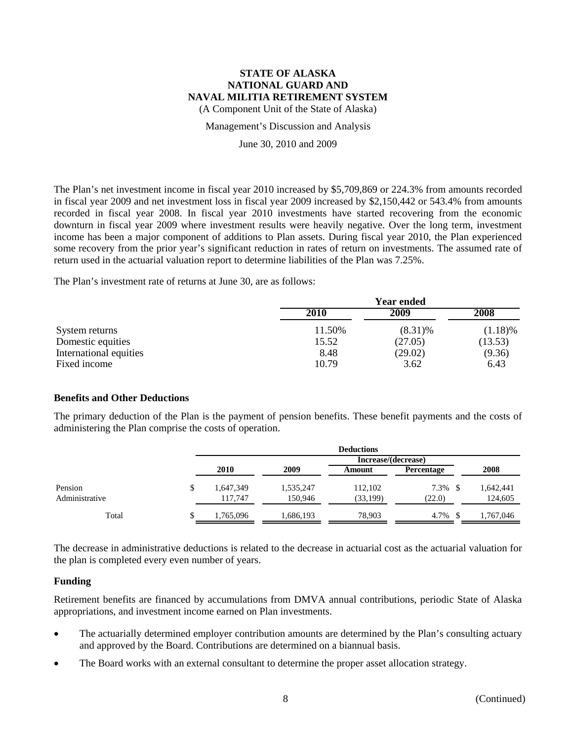(A Component Unit of the State of Alaska)

#### Management's Discussion and Analysis

June 30, 2010 and 2009

The Plan's net investment income in fiscal year 2010 increased by \$5,709,869 or 224.3% from amounts recorded in fiscal year 2009 and net investment loss in fiscal year 2009 increased by \$2,150,442 or 543.4% from amounts recorded in fiscal year 2008. In fiscal year 2010 investments have started recovering from the economic downturn in fiscal year 2009 where investment results were heavily negative. Over the long term, investment income has been a major component of additions to Plan assets. During fiscal year 2010, the Plan experienced some recovery from the prior year's significant reduction in rates of return on investments. The assumed rate of return used in the actuarial valuation report to determine liabilities of the Plan was 7.25%.

The Plan's investment rate of returns at June 30, are as follows:

|                        |        | <b>Year ended</b> |            |
|------------------------|--------|-------------------|------------|
|                        | 2010   | 2009              | 2008       |
| System returns         | 11.50% | $(8.31)\%$        | $(1.18)\%$ |
| Domestic equities      | 15.52  | (27.05)           | (13.53)    |
| International equities | 8.48   | (29.02)           | (9.36)     |
| Fixed income           | 10.79  | 3.62              | 6.43       |

### **Benefits and Other Deductions**

The primary deduction of the Plan is the payment of pension benefits. These benefit payments and the costs of administering the Plan comprise the costs of operation.

|                           |    |                      |                      | <b>Deductions</b>    |                   |                      |
|---------------------------|----|----------------------|----------------------|----------------------|-------------------|----------------------|
|                           |    | Increase/(decrease)  |                      |                      |                   |                      |
|                           |    | 2010                 | 2009                 | Amount               | <b>Percentage</b> | 2008                 |
| Pension<br>Administrative | J  | 1,647,349<br>117.747 | 1,535,247<br>150.946 | 112,102<br>(33, 199) | 7.3%<br>(22.0)    | 1,642,441<br>124,605 |
| Total                     | J) | 1,765,096            | 1,686,193            | 78.903               | 4.7%              | 1,767,046            |

The decrease in administrative deductions is related to the decrease in actuarial cost as the actuarial valuation for the plan is completed every even number of years.

### **Funding**

Retirement benefits are financed by accumulations from DMVA annual contributions, periodic State of Alaska appropriations, and investment income earned on Plan investments.

- The actuarially determined employer contribution amounts are determined by the Plan's consulting actuary and approved by the Board. Contributions are determined on a biannual basis.
- The Board works with an external consultant to determine the proper asset allocation strategy.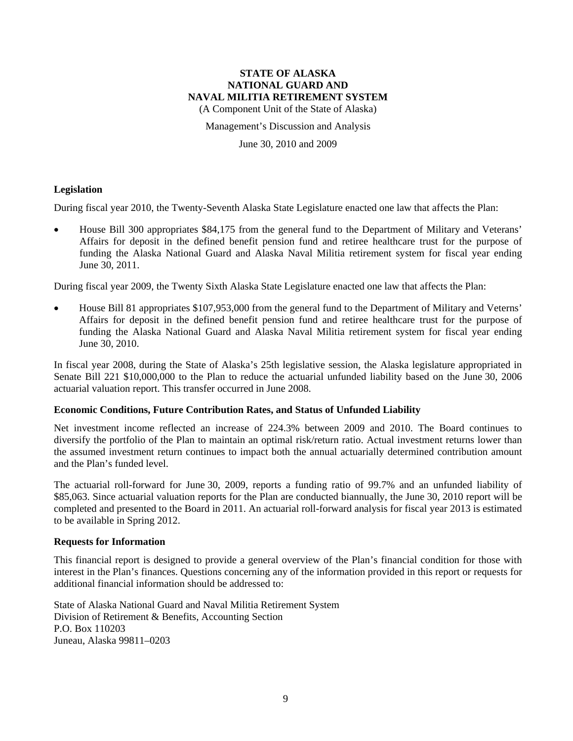(A Component Unit of the State of Alaska)

Management's Discussion and Analysis

June 30, 2010 and 2009

### **Legislation**

During fiscal year 2010, the Twenty-Seventh Alaska State Legislature enacted one law that affects the Plan:

 House Bill 300 appropriates \$84,175 from the general fund to the Department of Military and Veterans' Affairs for deposit in the defined benefit pension fund and retiree healthcare trust for the purpose of funding the Alaska National Guard and Alaska Naval Militia retirement system for fiscal year ending June 30, 2011.

During fiscal year 2009, the Twenty Sixth Alaska State Legislature enacted one law that affects the Plan:

 House Bill 81 appropriates \$107,953,000 from the general fund to the Department of Military and Veterns' Affairs for deposit in the defined benefit pension fund and retiree healthcare trust for the purpose of funding the Alaska National Guard and Alaska Naval Militia retirement system for fiscal year ending June 30, 2010.

In fiscal year 2008, during the State of Alaska's 25th legislative session, the Alaska legislature appropriated in Senate Bill 221 \$10,000,000 to the Plan to reduce the actuarial unfunded liability based on the June 30, 2006 actuarial valuation report. This transfer occurred in June 2008.

#### **Economic Conditions, Future Contribution Rates, and Status of Unfunded Liability**

Net investment income reflected an increase of 224.3% between 2009 and 2010. The Board continues to diversify the portfolio of the Plan to maintain an optimal risk/return ratio. Actual investment returns lower than the assumed investment return continues to impact both the annual actuarially determined contribution amount and the Plan's funded level.

The actuarial roll-forward for June 30, 2009, reports a funding ratio of 99.7% and an unfunded liability of \$85,063. Since actuarial valuation reports for the Plan are conducted biannually, the June 30, 2010 report will be completed and presented to the Board in 2011. An actuarial roll-forward analysis for fiscal year 2013 is estimated to be available in Spring 2012.

#### **Requests for Information**

This financial report is designed to provide a general overview of the Plan's financial condition for those with interest in the Plan's finances. Questions concerning any of the information provided in this report or requests for additional financial information should be addressed to:

State of Alaska National Guard and Naval Militia Retirement System Division of Retirement & Benefits, Accounting Section P.O. Box 110203 Juneau, Alaska 99811–0203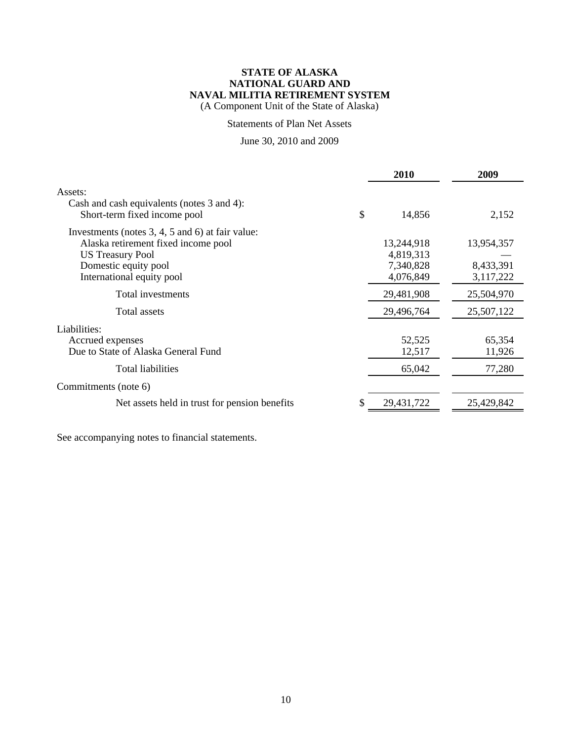(A Component Unit of the State of Alaska)

### Statements of Plan Net Assets

## June 30, 2010 and 2009

|                                                                                                                                                                              | 2010                                              | 2009                                 |
|------------------------------------------------------------------------------------------------------------------------------------------------------------------------------|---------------------------------------------------|--------------------------------------|
| Assets:<br>Cash and cash equivalents (notes 3 and 4):<br>Short-term fixed income pool                                                                                        | \$<br>14,856                                      | 2,152                                |
| Investments (notes $3, 4, 5$ and $6$ ) at fair value:<br>Alaska retirement fixed income pool<br><b>US Treasury Pool</b><br>Domestic equity pool<br>International equity pool | 13,244,918<br>4,819,313<br>7,340,828<br>4,076,849 | 13,954,357<br>8,433,391<br>3,117,222 |
| Total investments                                                                                                                                                            | 29,481,908                                        | 25,504,970                           |
| Total assets                                                                                                                                                                 | 29,496,764                                        | 25,507,122                           |
| Liabilities:<br>Accrued expenses<br>Due to State of Alaska General Fund                                                                                                      | 52,525<br>12,517                                  | 65,354<br>11,926                     |
| <b>Total liabilities</b>                                                                                                                                                     | 65,042                                            | 77,280                               |
| Commitments (note 6)                                                                                                                                                         |                                                   |                                      |
| Net assets held in trust for pension benefits                                                                                                                                | 29,431,722                                        | 25,429,842                           |

See accompanying notes to financial statements.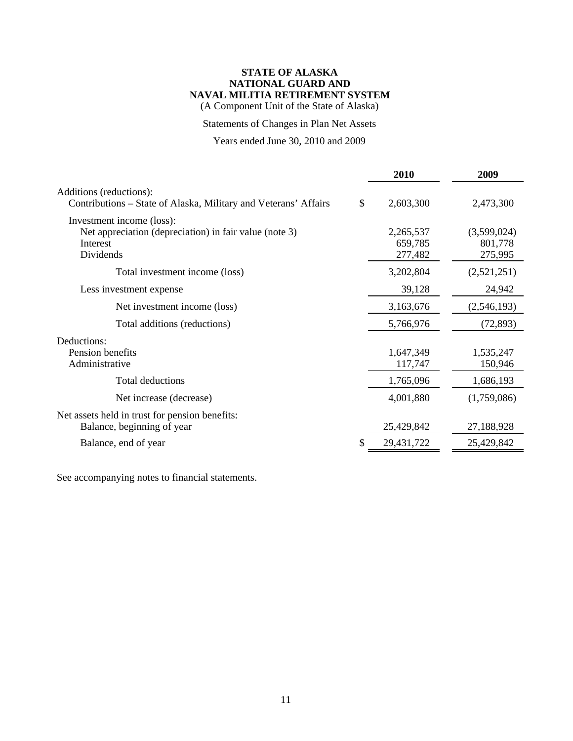(A Component Unit of the State of Alaska)

## Statements of Changes in Plan Net Assets

# Years ended June 30, 2010 and 2009

|                                                                                                              | 2010                            | 2009                              |
|--------------------------------------------------------------------------------------------------------------|---------------------------------|-----------------------------------|
| Additions (reductions):<br>Contributions – State of Alaska, Military and Veterans' Affairs                   | \$<br>2,603,300                 | 2,473,300                         |
| Investment income (loss):<br>Net appreciation (depreciation) in fair value (note 3)<br>Interest<br>Dividends | 2,265,537<br>659,785<br>277,482 | (3,599,024)<br>801,778<br>275,995 |
| Total investment income (loss)                                                                               | 3,202,804                       | (2,521,251)                       |
| Less investment expense                                                                                      | 39,128                          | 24,942                            |
| Net investment income (loss)                                                                                 | 3,163,676                       | (2,546,193)                       |
| Total additions (reductions)                                                                                 | 5,766,976                       | (72, 893)                         |
| Deductions:<br>Pension benefits<br>Administrative                                                            | 1,647,349<br>117,747            | 1,535,247<br>150,946              |
| Total deductions                                                                                             | 1,765,096                       | 1,686,193                         |
| Net increase (decrease)                                                                                      | 4,001,880                       | (1,759,086)                       |
| Net assets held in trust for pension benefits:<br>Balance, beginning of year                                 | 25,429,842                      | 27,188,928                        |
| Balance, end of year                                                                                         | 29,431,722                      | 25,429,842                        |

See accompanying notes to financial statements.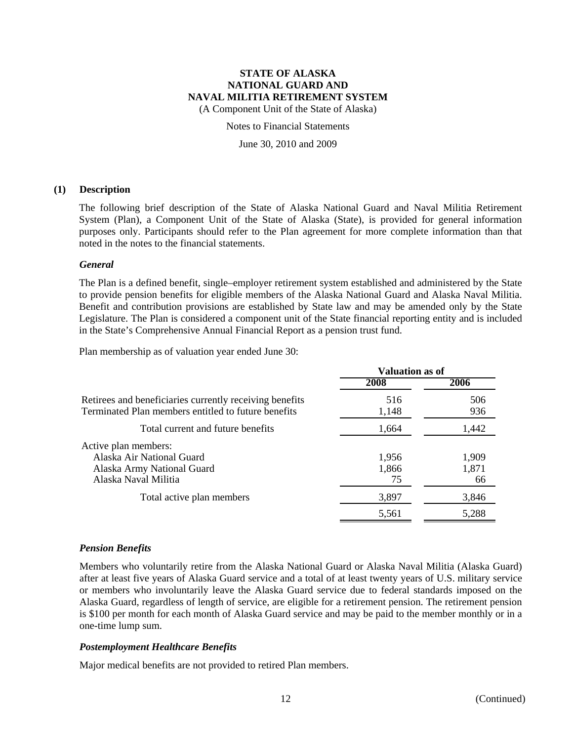(A Component Unit of the State of Alaska)

Notes to Financial Statements

June 30, 2010 and 2009

#### **(1) Description**

The following brief description of the State of Alaska National Guard and Naval Militia Retirement System (Plan), a Component Unit of the State of Alaska (State), is provided for general information purposes only. Participants should refer to the Plan agreement for more complete information than that noted in the notes to the financial statements.

### *General*

The Plan is a defined benefit, single–employer retirement system established and administered by the State to provide pension benefits for eligible members of the Alaska National Guard and Alaska Naval Militia. Benefit and contribution provisions are established by State law and may be amended only by the State Legislature. The Plan is considered a component unit of the State financial reporting entity and is included in the State's Comprehensive Annual Financial Report as a pension trust fund.

Plan membership as of valuation year ended June 30:

|                                                                                                                | <b>Valuation as of</b> |            |  |
|----------------------------------------------------------------------------------------------------------------|------------------------|------------|--|
|                                                                                                                | 2008                   | 2006       |  |
| Retirees and beneficiaries currently receiving benefits<br>Terminated Plan members entitled to future benefits | 516<br>1,148           | 506<br>936 |  |
| Total current and future benefits                                                                              | 1,664                  | 1,442      |  |
| Active plan members:                                                                                           |                        |            |  |
| Alaska Air National Guard                                                                                      | 1,956                  | 1,909      |  |
| Alaska Army National Guard                                                                                     | 1,866                  | 1,871      |  |
| Alaska Naval Militia                                                                                           | 75                     | 66         |  |
| Total active plan members                                                                                      | 3,897                  | 3,846      |  |
|                                                                                                                | 5,561                  | 5,288      |  |

### *Pension Benefits*

Members who voluntarily retire from the Alaska National Guard or Alaska Naval Militia (Alaska Guard) after at least five years of Alaska Guard service and a total of at least twenty years of U.S. military service or members who involuntarily leave the Alaska Guard service due to federal standards imposed on the Alaska Guard, regardless of length of service, are eligible for a retirement pension. The retirement pension is \$100 per month for each month of Alaska Guard service and may be paid to the member monthly or in a one-time lump sum.

### *Postemployment Healthcare Benefits*

Major medical benefits are not provided to retired Plan members.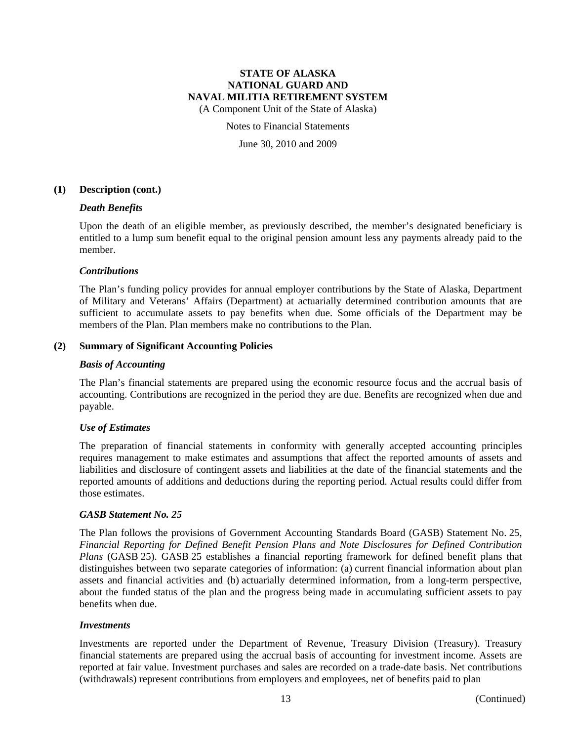(A Component Unit of the State of Alaska)

#### Notes to Financial Statements

June 30, 2010 and 2009

#### **(1) Description (cont.)**

#### *Death Benefits*

Upon the death of an eligible member, as previously described, the member's designated beneficiary is entitled to a lump sum benefit equal to the original pension amount less any payments already paid to the member.

#### *Contributions*

The Plan's funding policy provides for annual employer contributions by the State of Alaska, Department of Military and Veterans' Affairs (Department) at actuarially determined contribution amounts that are sufficient to accumulate assets to pay benefits when due. Some officials of the Department may be members of the Plan. Plan members make no contributions to the Plan.

#### **(2) Summary of Significant Accounting Policies**

#### *Basis of Accounting*

The Plan's financial statements are prepared using the economic resource focus and the accrual basis of accounting. Contributions are recognized in the period they are due. Benefits are recognized when due and payable.

#### *Use of Estimates*

The preparation of financial statements in conformity with generally accepted accounting principles requires management to make estimates and assumptions that affect the reported amounts of assets and liabilities and disclosure of contingent assets and liabilities at the date of the financial statements and the reported amounts of additions and deductions during the reporting period. Actual results could differ from those estimates.

#### *GASB Statement No. 25*

The Plan follows the provisions of Government Accounting Standards Board (GASB) Statement No. 25, *Financial Reporting for Defined Benefit Pension Plans and Note Disclosures for Defined Contribution Plans* (GASB 25). GASB 25 establishes a financial reporting framework for defined benefit plans that distinguishes between two separate categories of information: (a) current financial information about plan assets and financial activities and (b) actuarially determined information, from a long-term perspective, about the funded status of the plan and the progress being made in accumulating sufficient assets to pay benefits when due.

#### *Investments*

Investments are reported under the Department of Revenue, Treasury Division (Treasury). Treasury financial statements are prepared using the accrual basis of accounting for investment income. Assets are reported at fair value. Investment purchases and sales are recorded on a trade-date basis. Net contributions (withdrawals) represent contributions from employers and employees, net of benefits paid to plan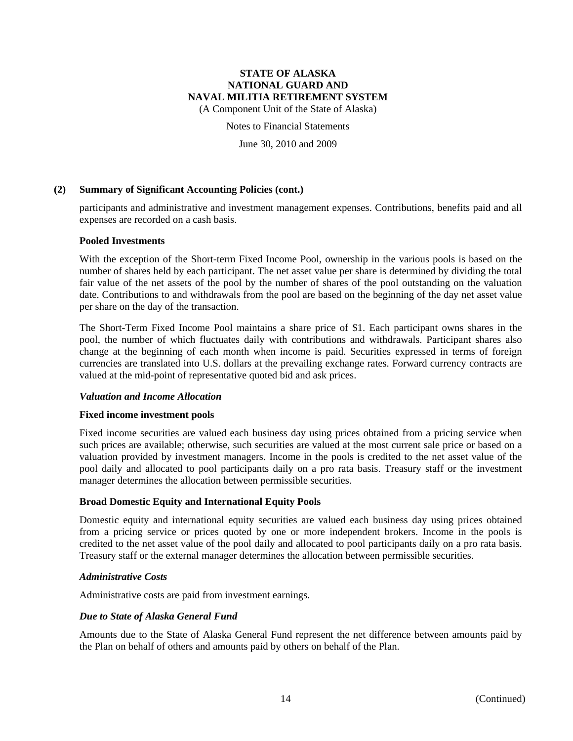(A Component Unit of the State of Alaska)

Notes to Financial Statements

June 30, 2010 and 2009

### **(2) Summary of Significant Accounting Policies (cont.)**

participants and administrative and investment management expenses. Contributions, benefits paid and all expenses are recorded on a cash basis.

#### **Pooled Investments**

With the exception of the Short-term Fixed Income Pool, ownership in the various pools is based on the number of shares held by each participant. The net asset value per share is determined by dividing the total fair value of the net assets of the pool by the number of shares of the pool outstanding on the valuation date. Contributions to and withdrawals from the pool are based on the beginning of the day net asset value per share on the day of the transaction.

The Short-Term Fixed Income Pool maintains a share price of \$1. Each participant owns shares in the pool, the number of which fluctuates daily with contributions and withdrawals. Participant shares also change at the beginning of each month when income is paid. Securities expressed in terms of foreign currencies are translated into U.S. dollars at the prevailing exchange rates. Forward currency contracts are valued at the mid-point of representative quoted bid and ask prices.

#### *Valuation and Income Allocation*

#### **Fixed income investment pools**

Fixed income securities are valued each business day using prices obtained from a pricing service when such prices are available; otherwise, such securities are valued at the most current sale price or based on a valuation provided by investment managers. Income in the pools is credited to the net asset value of the pool daily and allocated to pool participants daily on a pro rata basis. Treasury staff or the investment manager determines the allocation between permissible securities.

### **Broad Domestic Equity and International Equity Pools**

Domestic equity and international equity securities are valued each business day using prices obtained from a pricing service or prices quoted by one or more independent brokers. Income in the pools is credited to the net asset value of the pool daily and allocated to pool participants daily on a pro rata basis. Treasury staff or the external manager determines the allocation between permissible securities.

#### *Administrative Costs*

Administrative costs are paid from investment earnings.

#### *Due to State of Alaska General Fund*

Amounts due to the State of Alaska General Fund represent the net difference between amounts paid by the Plan on behalf of others and amounts paid by others on behalf of the Plan.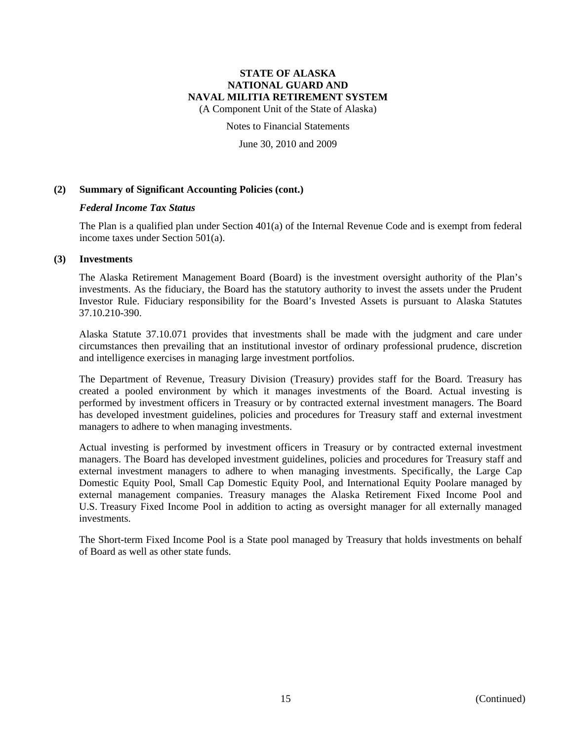(A Component Unit of the State of Alaska)

Notes to Financial Statements

June 30, 2010 and 2009

### **(2) Summary of Significant Accounting Policies (cont.)**

#### *Federal Income Tax Status*

The Plan is a qualified plan under Section 401(a) of the Internal Revenue Code and is exempt from federal income taxes under Section 501(a).

#### **(3) Investments**

The Alaska Retirement Management Board (Board) is the investment oversight authority of the Plan's investments. As the fiduciary, the Board has the statutory authority to invest the assets under the Prudent Investor Rule. Fiduciary responsibility for the Board's Invested Assets is pursuant to Alaska Statutes 37.10.210-390.

Alaska Statute 37.10.071 provides that investments shall be made with the judgment and care under circumstances then prevailing that an institutional investor of ordinary professional prudence, discretion and intelligence exercises in managing large investment portfolios.

The Department of Revenue, Treasury Division (Treasury) provides staff for the Board. Treasury has created a pooled environment by which it manages investments of the Board. Actual investing is performed by investment officers in Treasury or by contracted external investment managers. The Board has developed investment guidelines, policies and procedures for Treasury staff and external investment managers to adhere to when managing investments.

Actual investing is performed by investment officers in Treasury or by contracted external investment managers. The Board has developed investment guidelines, policies and procedures for Treasury staff and external investment managers to adhere to when managing investments. Specifically, the Large Cap Domestic Equity Pool, Small Cap Domestic Equity Pool, and International Equity Poolare managed by external management companies. Treasury manages the Alaska Retirement Fixed Income Pool and U.S. Treasury Fixed Income Pool in addition to acting as oversight manager for all externally managed investments.

The Short-term Fixed Income Pool is a State pool managed by Treasury that holds investments on behalf of Board as well as other state funds.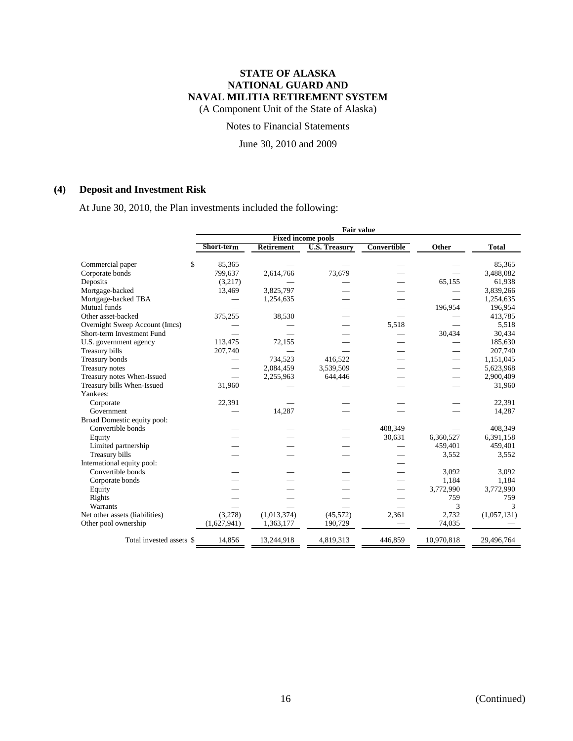(A Component Unit of the State of Alaska)

Notes to Financial Statements

June 30, 2010 and 2009

## **(4) Deposit and Investment Risk**

At June 30, 2010, the Plan investments included the following:

|                                | <b>Fair value</b> |                           |                      |             |            |              |  |
|--------------------------------|-------------------|---------------------------|----------------------|-------------|------------|--------------|--|
|                                |                   | <b>Fixed income pools</b> |                      |             |            |              |  |
|                                | Short-term        | <b>Retirement</b>         | <b>U.S. Treasury</b> | Convertible | Other      | <b>Total</b> |  |
| Commercial paper               | \$<br>85,365      |                           |                      |             |            | 85,365       |  |
| Corporate bonds                | 799,637           | 2,614,766                 | 73,679               |             |            | 3,488,082    |  |
| Deposits                       | (3,217)           |                           |                      |             | 65,155     | 61,938       |  |
| Mortgage-backed                | 13,469            | 3,825,797                 |                      |             |            | 3,839,266    |  |
| Mortgage-backed TBA            |                   | 1,254,635                 |                      |             |            | 1,254,635    |  |
| Mutual funds                   |                   |                           |                      |             | 196,954    | 196,954      |  |
| Other asset-backed             | 375,255           | 38,530                    |                      |             |            | 413,785      |  |
| Overnight Sweep Account (Imcs) |                   |                           |                      | 5,518       |            | 5,518        |  |
| Short-term Investment Fund     |                   |                           |                      |             | 30,434     | 30,434       |  |
| U.S. government agency         | 113,475           | 72,155                    |                      |             |            | 185,630      |  |
| Treasury bills                 | 207,740           |                           |                      |             |            | 207,740      |  |
| Treasury bonds                 |                   | 734,523                   | 416,522              |             |            | 1,151,045    |  |
| Treasury notes                 |                   | 2,084,459                 | 3,539,509            |             |            | 5,623,968    |  |
| Treasury notes When-Issued     |                   | 2,255,963                 | 644,446              |             |            | 2,900,409    |  |
| Treasury bills When-Issued     | 31,960            |                           |                      |             |            | 31,960       |  |
| Yankees:                       |                   |                           |                      |             |            |              |  |
| Corporate                      | 22,391            |                           |                      |             |            | 22,391       |  |
| Government                     |                   | 14,287                    |                      |             |            | 14,287       |  |
| Broad Domestic equity pool:    |                   |                           |                      |             |            |              |  |
| Convertible bonds              |                   |                           |                      | 408,349     |            | 408,349      |  |
| Equity                         |                   |                           |                      | 30,631      | 6,360,527  | 6,391,158    |  |
| Limited partnership            |                   |                           |                      |             | 459,401    | 459,401      |  |
| Treasury bills                 |                   |                           |                      |             | 3,552      | 3,552        |  |
| International equity pool:     |                   |                           |                      |             |            |              |  |
| Convertible bonds              |                   |                           |                      |             | 3,092      | 3,092        |  |
| Corporate bonds                |                   |                           |                      |             | 1,184      | 1,184        |  |
| Equity                         |                   |                           |                      |             | 3,772,990  | 3,772,990    |  |
| Rights                         |                   |                           |                      |             | 759        | 759          |  |
| Warrants                       |                   |                           |                      |             | 3          | 3            |  |
| Net other assets (liabilities) | (3,278)           | (1,013,374)               | (45, 572)            | 2,361       | 2,732      | (1,057,131)  |  |
| Other pool ownership           | (1,627,941)       | 1,363,177                 | 190,729              |             | 74,035     |              |  |
| Total invested assets \$       | 14,856            | 13,244,918                | 4,819,313            | 446,859     | 10,970,818 | 29,496,764   |  |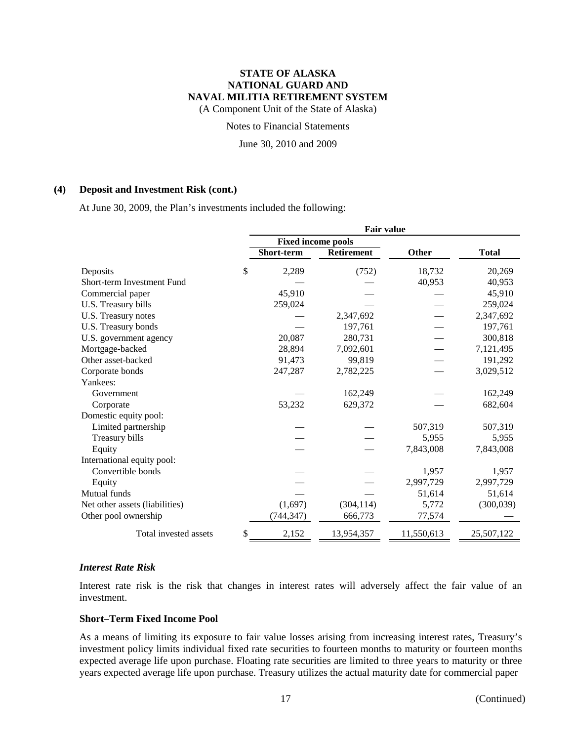(A Component Unit of the State of Alaska)

Notes to Financial Statements

June 30, 2010 and 2009

#### **(4) Deposit and Investment Risk (cont.)**

At June 30, 2009, the Plan's investments included the following:

|                                | <b>Fair value</b> |                           |            |              |  |
|--------------------------------|-------------------|---------------------------|------------|--------------|--|
|                                |                   | <b>Fixed income pools</b> |            |              |  |
|                                | Short-term        | <b>Retirement</b>         | Other      | <b>Total</b> |  |
| Deposits                       | \$<br>2,289       | (752)                     | 18,732     | 20,269       |  |
| Short-term Investment Fund     |                   |                           | 40,953     | 40,953       |  |
| Commercial paper               | 45,910            |                           |            | 45,910       |  |
| U.S. Treasury bills            | 259,024           |                           |            | 259,024      |  |
| U.S. Treasury notes            |                   | 2,347,692                 |            | 2,347,692    |  |
| U.S. Treasury bonds            |                   | 197,761                   |            | 197,761      |  |
| U.S. government agency         | 20,087            | 280,731                   |            | 300,818      |  |
| Mortgage-backed                | 28,894            | 7,092,601                 |            | 7,121,495    |  |
| Other asset-backed             | 91,473            | 99,819                    |            | 191,292      |  |
| Corporate bonds                | 247,287           | 2,782,225                 |            | 3,029,512    |  |
| Yankees:                       |                   |                           |            |              |  |
| Government                     |                   | 162,249                   |            | 162,249      |  |
| Corporate                      | 53,232            | 629,372                   |            | 682,604      |  |
| Domestic equity pool:          |                   |                           |            |              |  |
| Limited partnership            |                   |                           | 507,319    | 507,319      |  |
| Treasury bills                 |                   |                           | 5,955      | 5,955        |  |
| Equity                         |                   |                           | 7,843,008  | 7,843,008    |  |
| International equity pool:     |                   |                           |            |              |  |
| Convertible bonds              |                   |                           | 1,957      | 1,957        |  |
| Equity                         |                   |                           | 2,997,729  | 2,997,729    |  |
| Mutual funds                   |                   |                           | 51,614     | 51,614       |  |
| Net other assets (liabilities) | (1,697)           | (304, 114)                | 5,772      | (300, 039)   |  |
| Other pool ownership           | (744, 347)        | 666,773                   | 77,574     |              |  |
| Total invested assets          | \$<br>2,152       | 13,954,357                | 11,550,613 | 25,507,122   |  |

#### *Interest Rate Risk*

Interest rate risk is the risk that changes in interest rates will adversely affect the fair value of an investment.

#### **Short–Term Fixed Income Pool**

As a means of limiting its exposure to fair value losses arising from increasing interest rates, Treasury's investment policy limits individual fixed rate securities to fourteen months to maturity or fourteen months expected average life upon purchase. Floating rate securities are limited to three years to maturity or three years expected average life upon purchase. Treasury utilizes the actual maturity date for commercial paper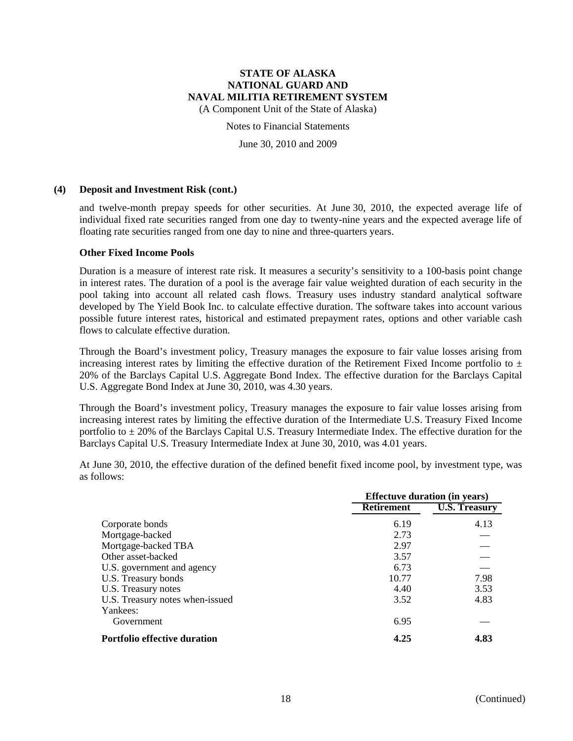(A Component Unit of the State of Alaska)

Notes to Financial Statements

June 30, 2010 and 2009

### **(4) Deposit and Investment Risk (cont.)**

and twelve-month prepay speeds for other securities. At June 30, 2010, the expected average life of individual fixed rate securities ranged from one day to twenty-nine years and the expected average life of floating rate securities ranged from one day to nine and three-quarters years.

### **Other Fixed Income Pools**

Duration is a measure of interest rate risk. It measures a security's sensitivity to a 100-basis point change in interest rates. The duration of a pool is the average fair value weighted duration of each security in the pool taking into account all related cash flows. Treasury uses industry standard analytical software developed by The Yield Book Inc. to calculate effective duration. The software takes into account various possible future interest rates, historical and estimated prepayment rates, options and other variable cash flows to calculate effective duration.

Through the Board's investment policy, Treasury manages the exposure to fair value losses arising from increasing interest rates by limiting the effective duration of the Retirement Fixed Income portfolio to  $\pm$ 20% of the Barclays Capital U.S. Aggregate Bond Index. The effective duration for the Barclays Capital U.S. Aggregate Bond Index at June 30, 2010, was 4.30 years.

Through the Board's investment policy, Treasury manages the exposure to fair value losses arising from increasing interest rates by limiting the effective duration of the Intermediate U.S. Treasury Fixed Income portfolio to  $\pm$  20% of the Barclays Capital U.S. Treasury Intermediate Index. The effective duration for the Barclays Capital U.S. Treasury Intermediate Index at June 30, 2010, was 4.01 years.

At June 30, 2010, the effective duration of the defined benefit fixed income pool, by investment type, was as follows:

|                                     | <b>Effectuve duration (in years)</b> |                      |  |
|-------------------------------------|--------------------------------------|----------------------|--|
|                                     | <b>Retirement</b>                    | <b>U.S. Treasury</b> |  |
| Corporate bonds                     | 6.19                                 | 4.13                 |  |
| Mortgage-backed                     | 2.73                                 |                      |  |
| Mortgage-backed TBA                 | 2.97                                 |                      |  |
| Other asset-backed                  | 3.57                                 |                      |  |
| U.S. government and agency          | 6.73                                 |                      |  |
| U.S. Treasury bonds                 | 10.77                                | 7.98                 |  |
| U.S. Treasury notes                 | 4.40                                 | 3.53                 |  |
| U.S. Treasury notes when-issued     | 3.52                                 | 4.83                 |  |
| Yankees:                            |                                      |                      |  |
| Government                          | 6.95                                 |                      |  |
| <b>Portfolio effective duration</b> | 4.25                                 | 4.83                 |  |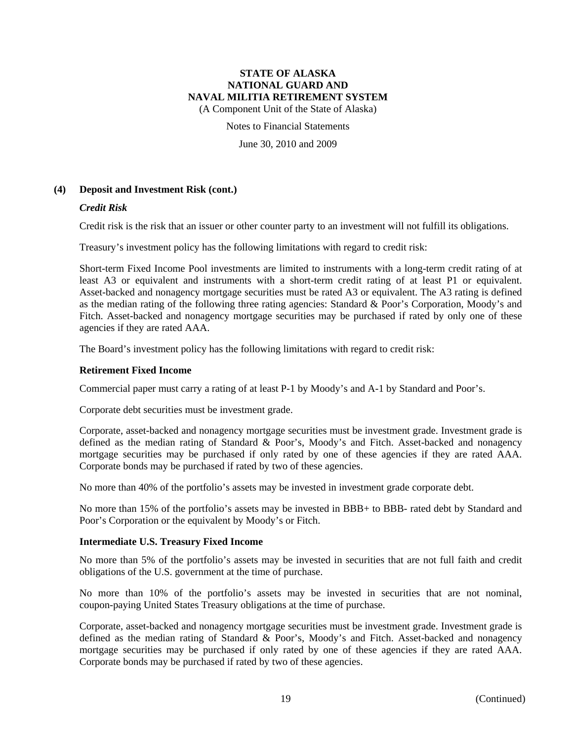(A Component Unit of the State of Alaska)

#### Notes to Financial Statements

June 30, 2010 and 2009

### **(4) Deposit and Investment Risk (cont.)**

#### *Credit Risk*

Credit risk is the risk that an issuer or other counter party to an investment will not fulfill its obligations.

Treasury's investment policy has the following limitations with regard to credit risk:

Short-term Fixed Income Pool investments are limited to instruments with a long-term credit rating of at least A3 or equivalent and instruments with a short-term credit rating of at least P1 or equivalent. Asset-backed and nonagency mortgage securities must be rated A3 or equivalent. The A3 rating is defined as the median rating of the following three rating agencies: Standard & Poor's Corporation, Moody's and Fitch. Asset-backed and nonagency mortgage securities may be purchased if rated by only one of these agencies if they are rated AAA.

The Board's investment policy has the following limitations with regard to credit risk:

### **Retirement Fixed Income**

Commercial paper must carry a rating of at least P-1 by Moody's and A-1 by Standard and Poor's.

Corporate debt securities must be investment grade.

Corporate, asset-backed and nonagency mortgage securities must be investment grade. Investment grade is defined as the median rating of Standard & Poor's, Moody's and Fitch. Asset-backed and nonagency mortgage securities may be purchased if only rated by one of these agencies if they are rated AAA. Corporate bonds may be purchased if rated by two of these agencies.

No more than 40% of the portfolio's assets may be invested in investment grade corporate debt.

No more than 15% of the portfolio's assets may be invested in BBB+ to BBB- rated debt by Standard and Poor's Corporation or the equivalent by Moody's or Fitch.

### **Intermediate U.S. Treasury Fixed Income**

No more than 5% of the portfolio's assets may be invested in securities that are not full faith and credit obligations of the U.S. government at the time of purchase.

No more than 10% of the portfolio's assets may be invested in securities that are not nominal, coupon-paying United States Treasury obligations at the time of purchase.

Corporate, asset-backed and nonagency mortgage securities must be investment grade. Investment grade is defined as the median rating of Standard & Poor's, Moody's and Fitch. Asset-backed and nonagency mortgage securities may be purchased if only rated by one of these agencies if they are rated AAA. Corporate bonds may be purchased if rated by two of these agencies.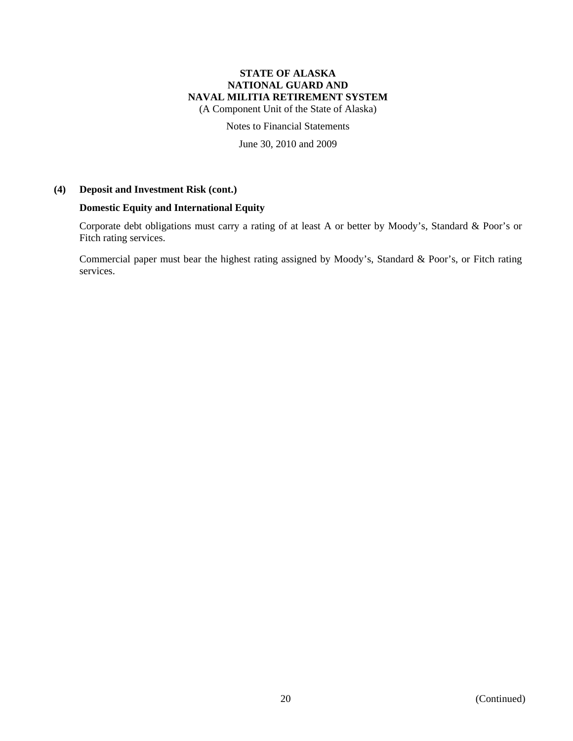(A Component Unit of the State of Alaska)

Notes to Financial Statements

June 30, 2010 and 2009

### **(4) Deposit and Investment Risk (cont.)**

#### **Domestic Equity and International Equity**

Corporate debt obligations must carry a rating of at least A or better by Moody's, Standard & Poor's or Fitch rating services.

Commercial paper must bear the highest rating assigned by Moody's, Standard & Poor's, or Fitch rating services.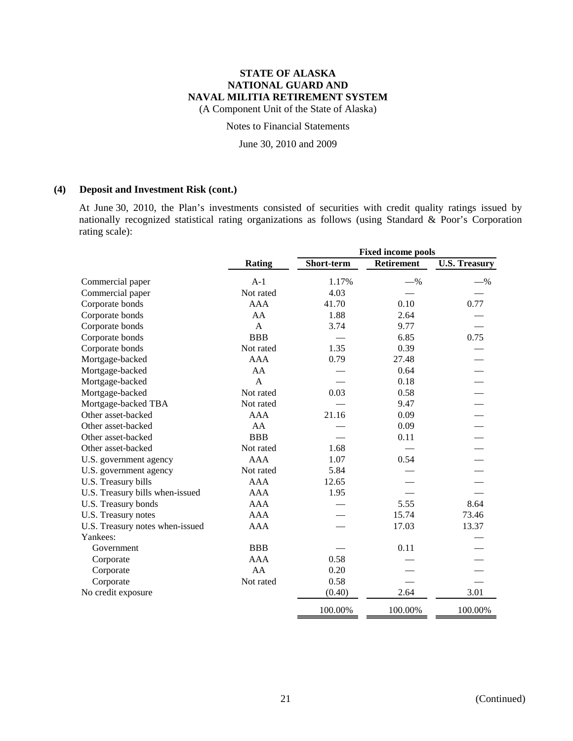(A Component Unit of the State of Alaska)

### Notes to Financial Statements

June 30, 2010 and 2009

### **(4) Deposit and Investment Risk (cont.)**

At June 30, 2010, the Plan's investments consisted of securities with credit quality ratings issued by nationally recognized statistical rating organizations as follows (using Standard & Poor's Corporation rating scale):

|                                 |              | <b>Fixed income pools</b> |                   |                      |
|---------------------------------|--------------|---------------------------|-------------------|----------------------|
|                                 | Rating       | Short-term                | <b>Retirement</b> | <b>U.S. Treasury</b> |
| Commercial paper                | $A-1$        | 1.17%                     | $-$ %             | $-$ %                |
| Commercial paper                | Not rated    | 4.03                      |                   |                      |
| Corporate bonds                 | <b>AAA</b>   | 41.70                     | 0.10              | 0.77                 |
| Corporate bonds                 | AA           | 1.88                      | 2.64              |                      |
| Corporate bonds                 | $\mathbf{A}$ | 3.74                      | 9.77              |                      |
| Corporate bonds                 | <b>BBB</b>   |                           | 6.85              | 0.75                 |
| Corporate bonds                 | Not rated    | 1.35                      | 0.39              |                      |
| Mortgage-backed                 | <b>AAA</b>   | 0.79                      | 27.48             |                      |
| Mortgage-backed                 | AA           |                           | 0.64              |                      |
| Mortgage-backed                 | $\mathsf{A}$ |                           | 0.18              |                      |
| Mortgage-backed                 | Not rated    | 0.03                      | 0.58              |                      |
| Mortgage-backed TBA             | Not rated    |                           | 9.47              |                      |
| Other asset-backed              | <b>AAA</b>   | 21.16                     | 0.09              |                      |
| Other asset-backed              | AA           |                           | 0.09              |                      |
| Other asset-backed              | <b>BBB</b>   |                           | 0.11              |                      |
| Other asset-backed              | Not rated    | 1.68                      |                   |                      |
| U.S. government agency          | <b>AAA</b>   | 1.07                      | 0.54              |                      |
| U.S. government agency          | Not rated    | 5.84                      |                   |                      |
| U.S. Treasury bills             | <b>AAA</b>   | 12.65                     |                   |                      |
| U.S. Treasury bills when-issued | <b>AAA</b>   | 1.95                      |                   |                      |
| U.S. Treasury bonds             | <b>AAA</b>   |                           | 5.55              | 8.64                 |
| U.S. Treasury notes             | <b>AAA</b>   |                           | 15.74             | 73.46                |
| U.S. Treasury notes when-issued | AAA          |                           | 17.03             | 13.37                |
| Yankees:                        |              |                           |                   |                      |
| Government                      | <b>BBB</b>   |                           | 0.11              |                      |
| Corporate                       | AAA          | 0.58                      |                   |                      |
| Corporate                       | AA           | 0.20                      |                   |                      |
| Corporate                       | Not rated    | 0.58                      |                   |                      |
| No credit exposure              |              | (0.40)                    | 2.64              | 3.01                 |
|                                 |              | 100.00%                   | 100.00%           | 100.00%              |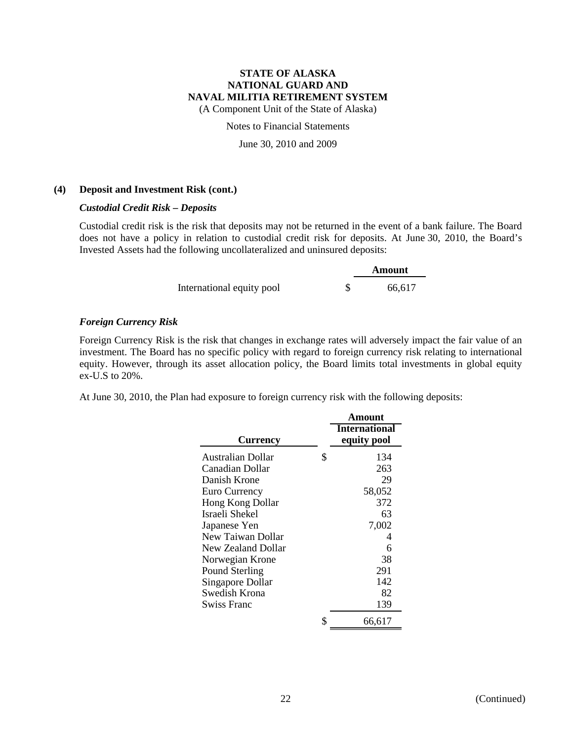(A Component Unit of the State of Alaska)

Notes to Financial Statements

June 30, 2010 and 2009

### **(4) Deposit and Investment Risk (cont.)**

#### *Custodial Credit Risk – Deposits*

Custodial credit risk is the risk that deposits may not be returned in the event of a bank failure. The Board does not have a policy in relation to custodial credit risk for deposits. At June 30, 2010, the Board's Invested Assets had the following uncollateralized and uninsured deposits:

> **Amount** International equity pool  $\qquad$  \$ 66,617

### *Foreign Currency Risk*

Foreign Currency Risk is the risk that changes in exchange rates will adversely impact the fair value of an investment. The Board has no specific policy with regard to foreign currency risk relating to international equity. However, through its asset allocation policy, the Board limits total investments in global equity ex-U.S to 20%.

At June 30, 2010, the Plan had exposure to foreign currency risk with the following deposits:

|                    | Amount                              |
|--------------------|-------------------------------------|
| <b>Currency</b>    | <b>International</b><br>equity pool |
| Australian Dollar  | \$<br>134                           |
| Canadian Dollar    | 263                                 |
| Danish Krone       | 29                                  |
| Euro Currency      | 58,052                              |
| Hong Kong Dollar   | 372                                 |
| Israeli Shekel     | 63                                  |
| Japanese Yen       | 7,002                               |
| New Taiwan Dollar  | 4                                   |
| New Zealand Dollar | 6                                   |
| Norwegian Krone    | 38                                  |
| Pound Sterling     | 291                                 |
| Singapore Dollar   | 142                                 |
| Swedish Krona      | 82                                  |
| Swiss Franc        | 139                                 |
|                    | \$<br>66,617                        |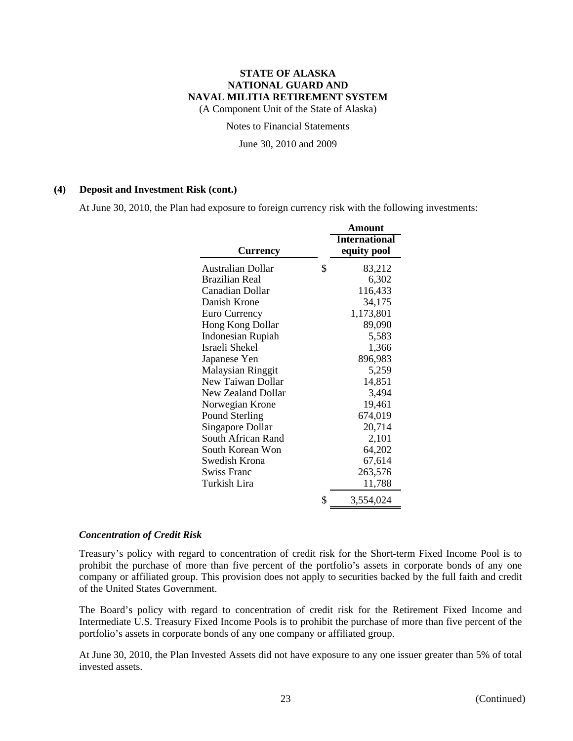(A Component Unit of the State of Alaska)

Notes to Financial Statements

June 30, 2010 and 2009

#### **(4) Deposit and Investment Risk (cont.)**

At June 30, 2010, the Plan had exposure to foreign currency risk with the following investments:

|                          | Amount               |
|--------------------------|----------------------|
|                          | <b>International</b> |
| <b>Currency</b>          | equity pool          |
| <b>Australian Dollar</b> | \$<br>83,212         |
| <b>Brazilian Real</b>    | 6,302                |
| Canadian Dollar          | 116,433              |
| Danish Krone             | 34,175               |
| Euro Currency            | 1,173,801            |
| Hong Kong Dollar         | 89,090               |
| <b>Indonesian Rupiah</b> | 5,583                |
| Israeli Shekel           | 1,366                |
| Japanese Yen             | 896,983              |
| <b>Malaysian Ringgit</b> | 5,259                |
| New Taiwan Dollar        | 14,851               |
| New Zealand Dollar       | 3,494                |
| Norwegian Krone          | 19,461               |
| Pound Sterling           | 674,019              |
| Singapore Dollar         | 20,714               |
| South African Rand       | 2,101                |
| South Korean Won         | 64,202               |
| Swedish Krona            | 67,614               |
| <b>Swiss Franc</b>       | 263,576              |
| Turkish Lira             | 11,788               |
|                          | \$<br>3,554,024      |

#### *Concentration of Credit Risk*

Treasury's policy with regard to concentration of credit risk for the Short-term Fixed Income Pool is to prohibit the purchase of more than five percent of the portfolio's assets in corporate bonds of any one company or affiliated group. This provision does not apply to securities backed by the full faith and credit of the United States Government.

The Board's policy with regard to concentration of credit risk for the Retirement Fixed Income and Intermediate U.S. Treasury Fixed Income Pools is to prohibit the purchase of more than five percent of the portfolio's assets in corporate bonds of any one company or affiliated group.

At June 30, 2010, the Plan Invested Assets did not have exposure to any one issuer greater than 5% of total invested assets.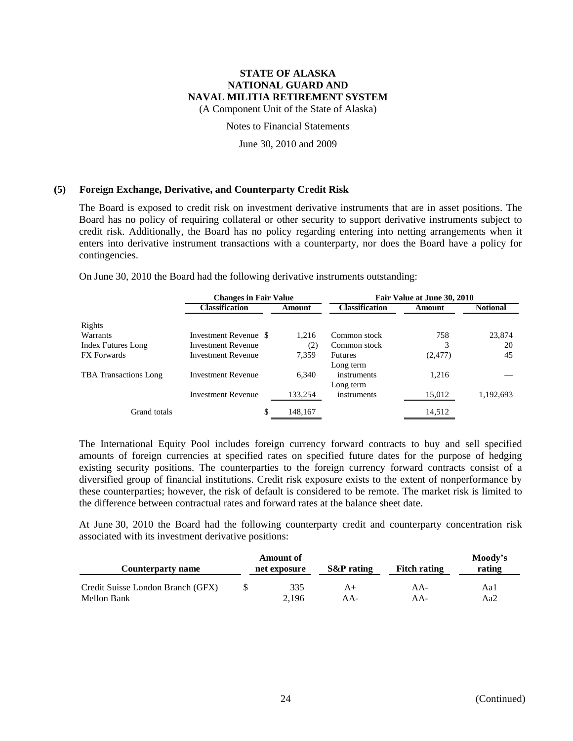(A Component Unit of the State of Alaska)

Notes to Financial Statements

June 30, 2010 and 2009

### **(5) Foreign Exchange, Derivative, and Counterparty Credit Risk**

The Board is exposed to credit risk on investment derivative instruments that are in asset positions. The Board has no policy of requiring collateral or other security to support derivative instruments subject to credit risk. Additionally, the Board has no policy regarding entering into netting arrangements when it enters into derivative instrument transactions with a counterparty, nor does the Board have a policy for contingencies.

On June 30, 2010 the Board had the following derivative instruments outstanding:

|                              | <b>Changes in Fair Value</b> |         | Fair Value at June 30, 2010 |         |                 |  |
|------------------------------|------------------------------|---------|-----------------------------|---------|-----------------|--|
|                              | Classification               | Amount  | <b>Classification</b>       | Amount  | <b>Notional</b> |  |
| Rights                       |                              |         |                             |         |                 |  |
| Warrants                     | Investment Revenue \$        | 1.216   | Common stock                | 758     | 23,874          |  |
| <b>Index Futures Long</b>    | <b>Investment Revenue</b>    | (2)     | Common stock                | 3       | 20              |  |
| <b>FX</b> Forwards           | <b>Investment Revenue</b>    | 7.359   | <b>Futures</b>              | (2,477) | 45              |  |
|                              |                              |         | Long term                   |         |                 |  |
| <b>TBA</b> Transactions Long | <b>Investment Revenue</b>    | 6.340   | instruments                 | 1.216   |                 |  |
|                              |                              |         | Long term                   |         |                 |  |
|                              | <b>Investment Revenue</b>    | 133,254 | instruments                 | 15,012  | 1,192,693       |  |
| Grand totals                 |                              | 148,167 |                             | 14,512  |                 |  |

The International Equity Pool includes foreign currency forward contracts to buy and sell specified amounts of foreign currencies at specified rates on specified future dates for the purpose of hedging existing security positions. The counterparties to the foreign currency forward contracts consist of a diversified group of financial institutions. Credit risk exposure exists to the extent of nonperformance by these counterparties; however, the risk of default is considered to be remote. The market risk is limited to the difference between contractual rates and forward rates at the balance sheet date.

At June 30, 2010 the Board had the following counterparty credit and counterparty concentration risk associated with its investment derivative positions:

| Counterparty name                 | <b>Amount of</b><br>net exposure | <b>S&amp;P</b> rating | <b>Fitch rating</b> | Moody's<br>rating |
|-----------------------------------|----------------------------------|-----------------------|---------------------|-------------------|
| Credit Suisse London Branch (GFX) | 335                              | A+                    | AA-                 | Aal               |
| Mellon Bank                       | 2.196                            | AA-                   | AA-                 | Aa2               |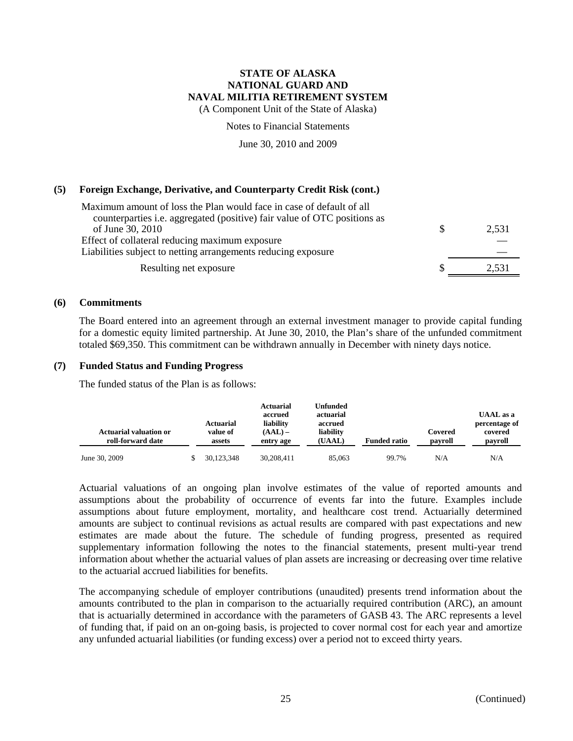(A Component Unit of the State of Alaska)

Notes to Financial Statements

June 30, 2010 and 2009

### **(5) Foreign Exchange, Derivative, and Counterparty Credit Risk (cont.)**

| Maximum amount of loss the Plan would face in case of default of all<br>counterparties <i>i.e.</i> aggregated (positive) fair value of OTC positions as |       |
|---------------------------------------------------------------------------------------------------------------------------------------------------------|-------|
| of June 30, 2010                                                                                                                                        | 2.531 |
| Effect of collateral reducing maximum exposure                                                                                                          |       |
| Liabilities subject to netting arrangements reducing exposure                                                                                           |       |
| Resulting net exposure                                                                                                                                  | 2.531 |

#### **(6) Commitments**

The Board entered into an agreement through an external investment manager to provide capital funding for a domestic equity limited partnership. At June 30, 2010, the Plan's share of the unfunded commitment totaled \$69,350. This commitment can be withdrawn annually in December with ninety days notice.

#### **(7) Funded Status and Funding Progress**

The funded status of the Plan is as follows:

| <b>Actuarial valuation or</b><br>roll-forward date | <b>Actuarial</b><br>value of<br>assets |            | <b>Actuarial</b><br>accrued<br>liability<br>$(AAL)$ –<br>entry age | Unfunded<br>actuarial<br>accrued<br>liability<br>(UAAL) | <b>Funded ratio</b> | Covered<br>payroll | <b>UAAL</b> as a<br>percentage of<br>covered<br>payroll |
|----------------------------------------------------|----------------------------------------|------------|--------------------------------------------------------------------|---------------------------------------------------------|---------------------|--------------------|---------------------------------------------------------|
| June 30, 2009                                      |                                        | 30.123.348 | 30.208.411                                                         | 85,063                                                  | 99.7%               | N/A                | N/A                                                     |

Actuarial valuations of an ongoing plan involve estimates of the value of reported amounts and assumptions about the probability of occurrence of events far into the future. Examples include assumptions about future employment, mortality, and healthcare cost trend. Actuarially determined amounts are subject to continual revisions as actual results are compared with past expectations and new estimates are made about the future. The schedule of funding progress, presented as required supplementary information following the notes to the financial statements, present multi-year trend information about whether the actuarial values of plan assets are increasing or decreasing over time relative to the actuarial accrued liabilities for benefits.

The accompanying schedule of employer contributions (unaudited) presents trend information about the amounts contributed to the plan in comparison to the actuarially required contribution (ARC), an amount that is actuarially determined in accordance with the parameters of GASB 43. The ARC represents a level of funding that, if paid on an on-going basis, is projected to cover normal cost for each year and amortize any unfunded actuarial liabilities (or funding excess) over a period not to exceed thirty years.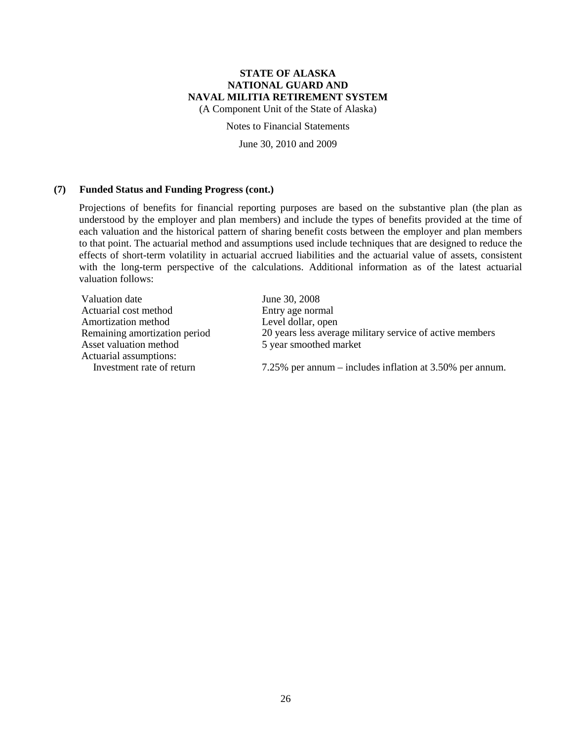(A Component Unit of the State of Alaska)

Notes to Financial Statements

June 30, 2010 and 2009

#### **(7) Funded Status and Funding Progress (cont.)**

Projections of benefits for financial reporting purposes are based on the substantive plan (the plan as understood by the employer and plan members) and include the types of benefits provided at the time of each valuation and the historical pattern of sharing benefit costs between the employer and plan members to that point. The actuarial method and assumptions used include techniques that are designed to reduce the effects of short-term volatility in actuarial accrued liabilities and the actuarial value of assets, consistent with the long-term perspective of the calculations. Additional information as of the latest actuarial valuation follows:

| Valuation date                | June 30, 2008                                            |
|-------------------------------|----------------------------------------------------------|
| Actuarial cost method         | Entry age normal                                         |
| Amortization method           | Level dollar, open                                       |
| Remaining amortization period | 20 years less average military service of active members |
| Asset valuation method        | 5 year smoothed market                                   |
| Actuarial assumptions:        |                                                          |
| Investment rate of return     | 7.25% per annum – includes inflation at 3.50% per annum. |
|                               |                                                          |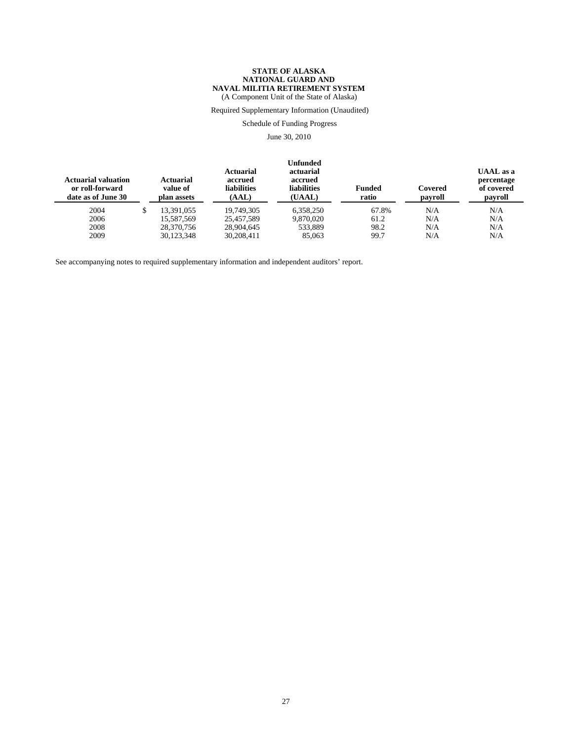(A Component Unit of the State of Alaska)

Required Supplementary Information (Unaudited)

Schedule of Funding Progress

June 30, 2010

| Actuarial valuation<br>or roll-forward<br>date as of June 30 |   | <b>Actuarial</b><br>value of<br>plan assets | Actuarial<br>accrued<br><b>liabilities</b><br>(AAL) | Unfunded<br>actuarial<br>accrued<br><b>liabilities</b><br>(UAAL) | <b>Funded</b><br>ratio | Covered<br>payroll | <b>UAAL</b> as a<br>percentage<br>of covered<br>payroll |
|--------------------------------------------------------------|---|---------------------------------------------|-----------------------------------------------------|------------------------------------------------------------------|------------------------|--------------------|---------------------------------------------------------|
| 2004                                                         | S | 13.391.055                                  | 19.749.305                                          | 6.358.250                                                        | 67.8%                  | N/A                | N/A                                                     |
| 2006                                                         |   | 15.587.569                                  | 25.457.589                                          | 9.870.020                                                        | 61.2                   | N/A                | N/A                                                     |
| 2008                                                         |   | 28,370,756                                  | 28,904,645                                          | 533.889                                                          | 98.2                   | N/A                | N/A                                                     |
| 2009                                                         |   | 30.123.348                                  | 30.208.411                                          | 85,063                                                           | 99.7                   | N/A                | N/A                                                     |

See accompanying notes to required supplementary information and independent auditors' report.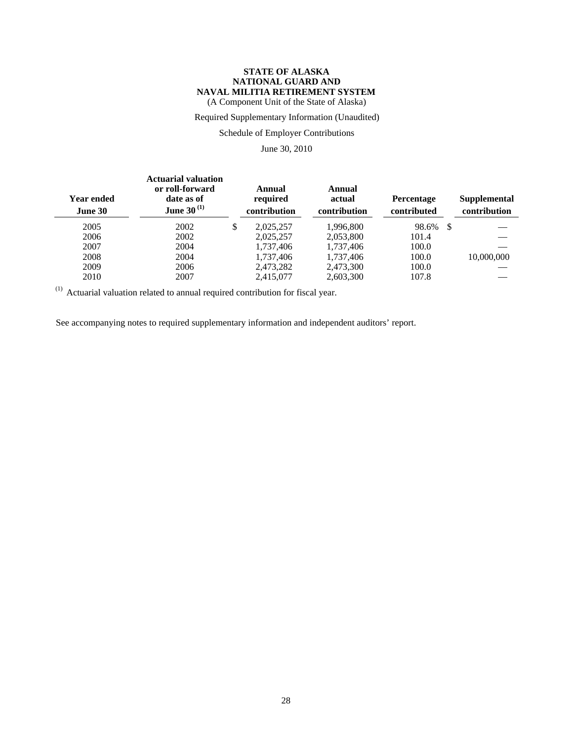#### **STATE OF ALASKA NATIONAL GUARD AND NAVAL MILITIA RETIREMENT SYSTEM** (A Component Unit of the State of Alaska)

Required Supplementary Information (Unaudited)

### Schedule of Employer Contributions

June 30, 2010

| <b>Year ended</b><br>June 30 | <b>Actuarial valuation</b><br>or roll-forward<br>date as of<br><b>June 30</b> <sup>(1)</sup> | Annual<br>required<br>contribution | Annual<br>actual<br>contribution | <b>Percentage</b><br>contributed |      | <b>Supplemental</b><br>contribution |
|------------------------------|----------------------------------------------------------------------------------------------|------------------------------------|----------------------------------|----------------------------------|------|-------------------------------------|
| 2005                         | 2002                                                                                         | 2.025.257                          | 1.996.800                        | 98.6%                            | - \$ |                                     |
| 2006                         | 2002                                                                                         | 2.025.257                          | 2,053,800                        | 101.4                            |      |                                     |
| 2007                         | 2004                                                                                         | 1,737,406                          | 1,737,406                        | 100.0                            |      |                                     |
| 2008                         | 2004                                                                                         | 1,737,406                          | 1,737,406                        | 100.0                            |      | 10,000,000                          |
| 2009                         | 2006                                                                                         | 2,473,282                          | 2,473,300                        | 100.0                            |      |                                     |
| 2010                         | 2007                                                                                         | 2.415.077                          | 2.603.300                        | 107.8                            |      |                                     |

 $(1)$  Actuarial valuation related to annual required contribution for fiscal year.

See accompanying notes to required supplementary information and independent auditors' report.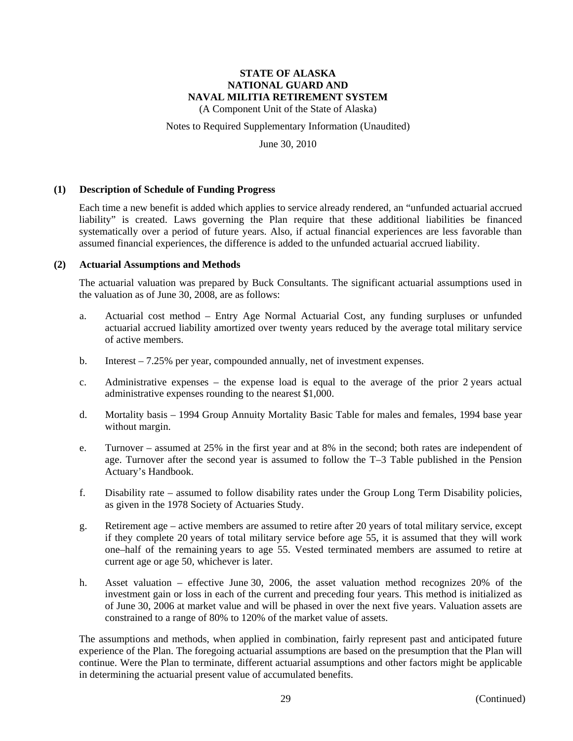(A Component Unit of the State of Alaska)

Notes to Required Supplementary Information (Unaudited)

June 30, 2010

#### **(1) Description of Schedule of Funding Progress**

Each time a new benefit is added which applies to service already rendered, an "unfunded actuarial accrued liability" is created. Laws governing the Plan require that these additional liabilities be financed systematically over a period of future years. Also, if actual financial experiences are less favorable than assumed financial experiences, the difference is added to the unfunded actuarial accrued liability.

#### **(2) Actuarial Assumptions and Methods**

The actuarial valuation was prepared by Buck Consultants. The significant actuarial assumptions used in the valuation as of June 30, 2008, are as follows:

- a. Actuarial cost method Entry Age Normal Actuarial Cost, any funding surpluses or unfunded actuarial accrued liability amortized over twenty years reduced by the average total military service of active members.
- b. Interest 7.25% per year, compounded annually, net of investment expenses.
- c. Administrative expenses the expense load is equal to the average of the prior 2 years actual administrative expenses rounding to the nearest \$1,000.
- d. Mortality basis 1994 Group Annuity Mortality Basic Table for males and females, 1994 base year without margin.
- e. Turnover assumed at 25% in the first year and at 8% in the second; both rates are independent of age. Turnover after the second year is assumed to follow the T–3 Table published in the Pension Actuary's Handbook.
- f. Disability rate assumed to follow disability rates under the Group Long Term Disability policies, as given in the 1978 Society of Actuaries Study.
- g. Retirement age active members are assumed to retire after 20 years of total military service, except if they complete 20 years of total military service before age 55, it is assumed that they will work one–half of the remaining years to age 55. Vested terminated members are assumed to retire at current age or age 50, whichever is later.
- h. Asset valuation effective June 30, 2006, the asset valuation method recognizes 20% of the investment gain or loss in each of the current and preceding four years. This method is initialized as of June 30, 2006 at market value and will be phased in over the next five years. Valuation assets are constrained to a range of 80% to 120% of the market value of assets.

The assumptions and methods, when applied in combination, fairly represent past and anticipated future experience of the Plan. The foregoing actuarial assumptions are based on the presumption that the Plan will continue. Were the Plan to terminate, different actuarial assumptions and other factors might be applicable in determining the actuarial present value of accumulated benefits.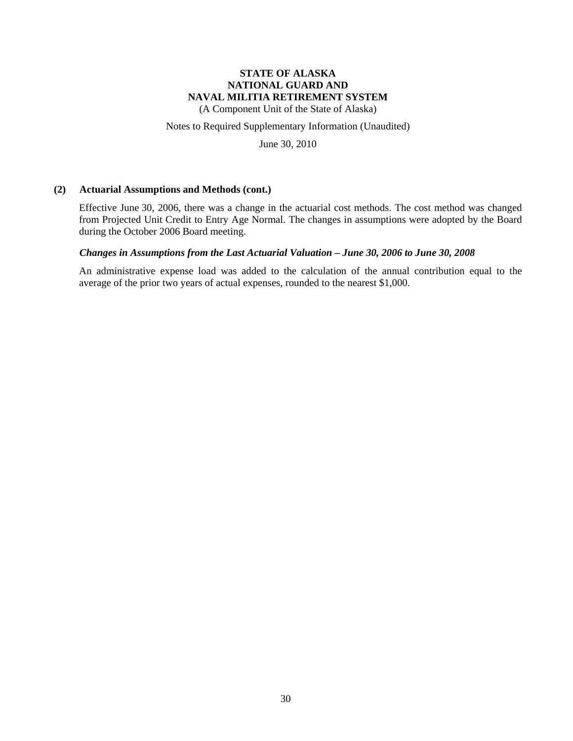(A Component Unit of the State of Alaska)

Notes to Required Supplementary Information (Unaudited)

June 30, 2010

#### **(2) Actuarial Assumptions and Methods (cont.)**

Effective June 30, 2006, there was a change in the actuarial cost methods. The cost method was changed from Projected Unit Credit to Entry Age Normal. The changes in assumptions were adopted by the Board during the October 2006 Board meeting.

#### *Changes in Assumptions from the Last Actuarial Valuation – June 30, 2006 to June 30, 2008*

An administrative expense load was added to the calculation of the annual contribution equal to the average of the prior two years of actual expenses, rounded to the nearest \$1,000.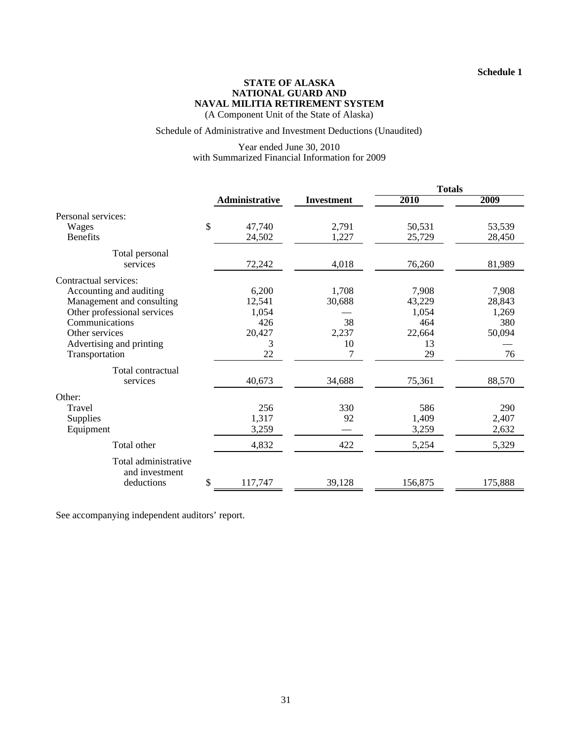**Schedule 1**

### **STATE OF ALASKA NATIONAL GUARD AND NAVAL MILITIA RETIREMENT SYSTEM**

(A Component Unit of the State of Alaska)

## Schedule of Administrative and Investment Deductions (Unaudited)

Year ended June 30, 2010 with Summarized Financial Information for 2009

|                                        |    |                |                   | <b>Totals</b> |         |  |
|----------------------------------------|----|----------------|-------------------|---------------|---------|--|
|                                        |    | Administrative | <b>Investment</b> | 2010          | 2009    |  |
| Personal services:                     |    |                |                   |               |         |  |
| Wages                                  | \$ | 47,740         | 2,791             | 50,531        | 53,539  |  |
| <b>Benefits</b>                        |    | 24,502         | 1,227             | 25,729        | 28,450  |  |
| Total personal                         |    |                |                   |               |         |  |
| services                               |    | 72,242         | 4,018             | 76,260        | 81,989  |  |
| Contractual services:                  |    |                |                   |               |         |  |
| Accounting and auditing                |    | 6,200          | 1,708             | 7,908         | 7,908   |  |
| Management and consulting              |    | 12,541         | 30,688            | 43,229        | 28,843  |  |
| Other professional services            |    | 1,054          |                   | 1,054         | 1,269   |  |
| Communications                         |    | 426            | 38                | 464           | 380     |  |
| Other services                         |    | 20,427         | 2,237             | 22,664        | 50,094  |  |
| Advertising and printing               |    | 3              | 10                | 13            |         |  |
| Transportation                         |    | 22             |                   | 29            | 76      |  |
| Total contractual                      |    |                |                   |               |         |  |
| services                               |    | 40,673         | 34,688            | 75,361        | 88,570  |  |
| Other:                                 |    |                |                   |               |         |  |
| Travel                                 |    | 256            | 330               | 586           | 290     |  |
| Supplies                               |    | 1,317          | 92                | 1,409         | 2,407   |  |
| Equipment                              |    | 3,259          |                   | 3,259         | 2,632   |  |
| Total other                            |    | 4,832          | 422               | 5,254         | 5,329   |  |
| Total administrative<br>and investment |    |                |                   |               |         |  |
| deductions                             | \$ | 117,747        | 39,128            | 156,875       | 175,888 |  |
|                                        |    |                |                   |               |         |  |

See accompanying independent auditors' report.